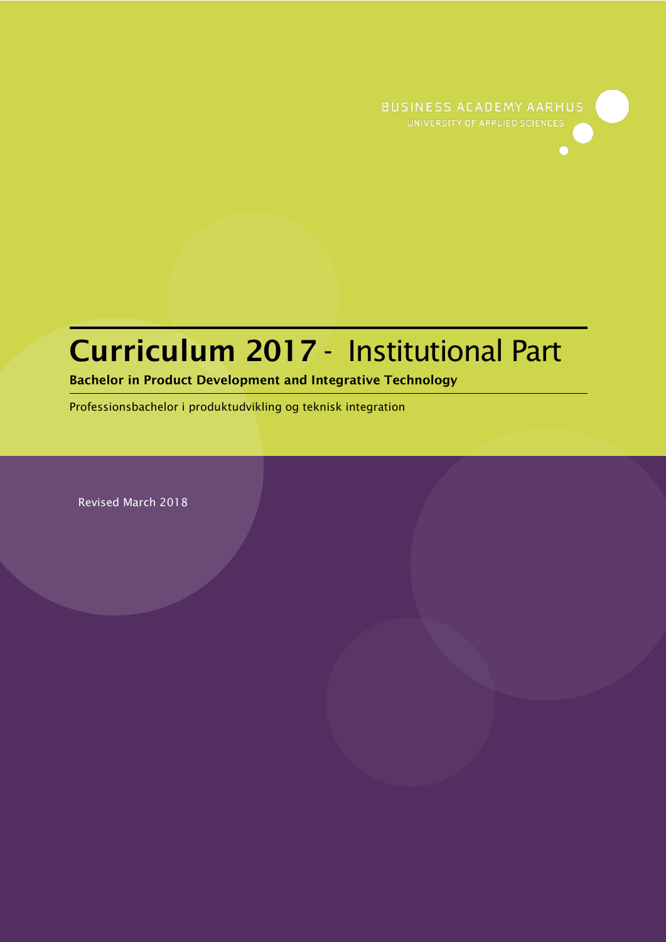

# Curriculum 2017 - Institutional Part

Bachelor in Product Development and Integrative Technology

Professionsbachelor i produktudvikling og teknisk integration

Revised March 2018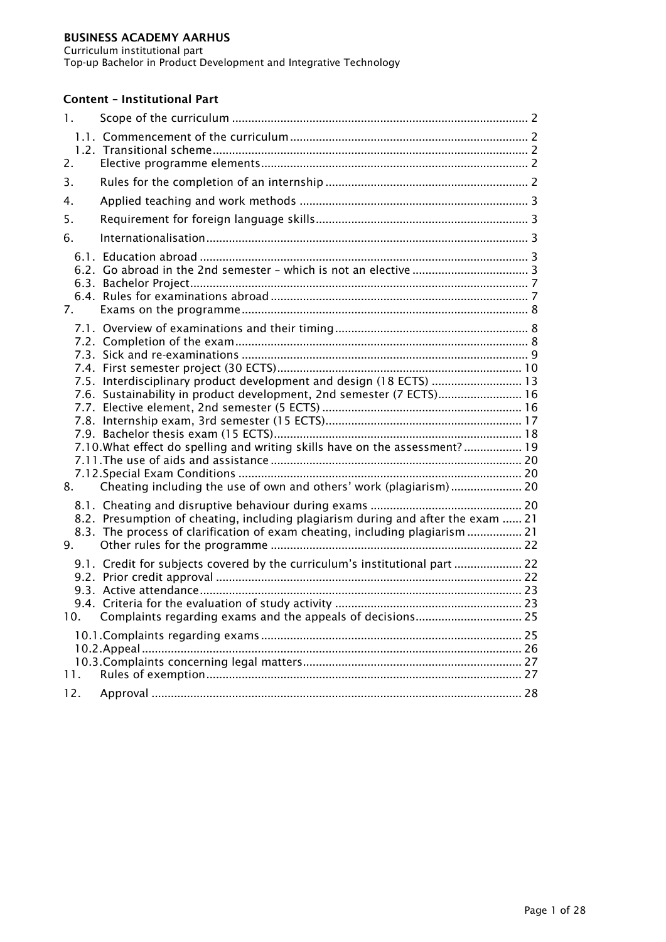Curriculum institutional part

Top-up Bachelor in Product Development and Integrative Technology

# Content – Institutional Part

| $\mathbf{1}$ . |                                                                                                                                                                 |  |
|----------------|-----------------------------------------------------------------------------------------------------------------------------------------------------------------|--|
| 2.             |                                                                                                                                                                 |  |
| 3.             |                                                                                                                                                                 |  |
| 4.             |                                                                                                                                                                 |  |
| 5.             |                                                                                                                                                                 |  |
| 6.             |                                                                                                                                                                 |  |
| 7.             |                                                                                                                                                                 |  |
|                |                                                                                                                                                                 |  |
|                |                                                                                                                                                                 |  |
|                | 7.5. Interdisciplinary product development and design (18 ECTS)  13                                                                                             |  |
|                | 7.6. Sustainability in product development, 2nd semester (7 ECTS) 16                                                                                            |  |
|                |                                                                                                                                                                 |  |
|                | 7.10. What effect do spelling and writing skills have on the assessment?  19                                                                                    |  |
|                |                                                                                                                                                                 |  |
|                |                                                                                                                                                                 |  |
| 8.             | Cheating including the use of own and others' work (plagiarism) 20                                                                                              |  |
|                |                                                                                                                                                                 |  |
|                | 8.2. Presumption of cheating, including plagiarism during and after the exam  21<br>8.3. The process of clarification of exam cheating, including plagiarism 21 |  |
| 9.             |                                                                                                                                                                 |  |
|                | 9.1. Credit for subjects covered by the curriculum's institutional part  22                                                                                     |  |
|                |                                                                                                                                                                 |  |
| 10.            | Complaints regarding exams and the appeals of decisions 25                                                                                                      |  |
|                |                                                                                                                                                                 |  |
|                |                                                                                                                                                                 |  |
| 11.            |                                                                                                                                                                 |  |
| 12.            |                                                                                                                                                                 |  |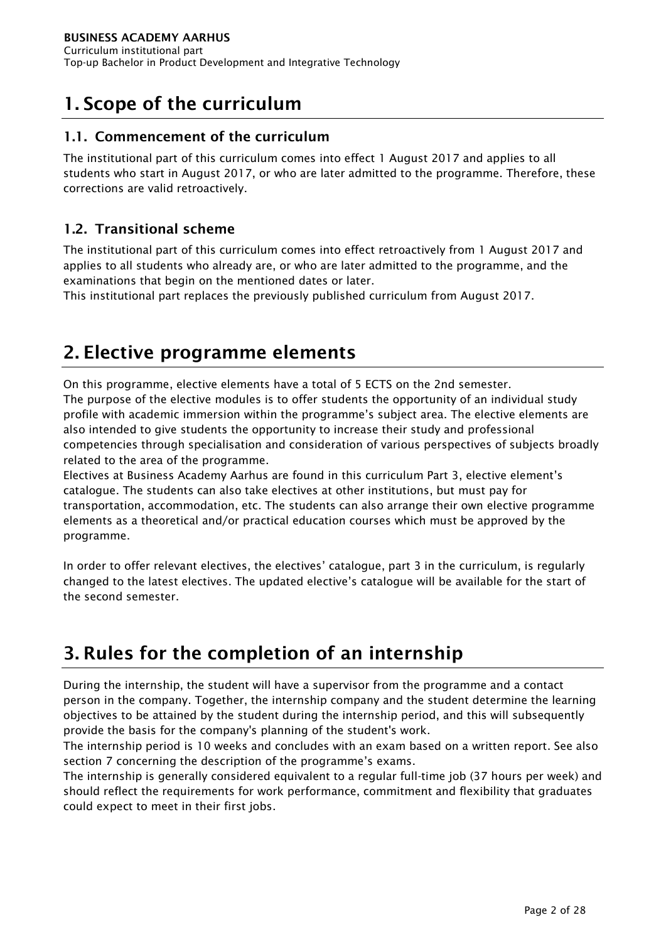# <span id="page-2-0"></span>1. Scope of the curriculum

# <span id="page-2-1"></span>1.1. Commencement of the curriculum

The institutional part of this curriculum comes into effect 1 August 2017 and applies to all students who start in August 2017, or who are later admitted to the programme. Therefore, these corrections are valid retroactively.

# <span id="page-2-2"></span>1.2. Transitional scheme

The institutional part of this curriculum comes into effect retroactively from 1 August 2017 and applies to all students who already are, or who are later admitted to the programme, and the examinations that begin on the mentioned dates or later.

This institutional part replaces the previously published curriculum from August 2017.

# <span id="page-2-3"></span>2. Elective programme elements

On this programme, elective elements have a total of 5 ECTS on the 2nd semester. The purpose of the elective modules is to offer students the opportunity of an individual study profile with academic immersion within the programme's subject area. The elective elements are also intended to give students the opportunity to increase their study and professional competencies through specialisation and consideration of various perspectives of subjects broadly related to the area of the programme.

Electives at Business Academy Aarhus are found in this curriculum Part 3, elective element's catalogue. The students can also take electives at other institutions, but must pay for transportation, accommodation, etc. The students can also arrange their own elective programme elements as a theoretical and/or practical education courses which must be approved by the programme.

In order to offer relevant electives, the electives' catalogue, part 3 in the curriculum, is regularly changed to the latest electives. The updated elective's catalogue will be available for the start of the second semester.

# <span id="page-2-4"></span>3. Rules for the completion of an internship

During the internship, the student will have a supervisor from the programme and a contact person in the company. Together, the internship company and the student determine the learning objectives to be attained by the student during the internship period, and this will subsequently provide the basis for the company's planning of the student's work.

The internship period is 10 weeks and concludes with an exam based on a written report. See also section 7 concerning the description of the programme's exams.

The internship is generally considered equivalent to a regular full-time job (37 hours per week) and should reflect the requirements for work performance, commitment and flexibility that graduates could expect to meet in their first jobs.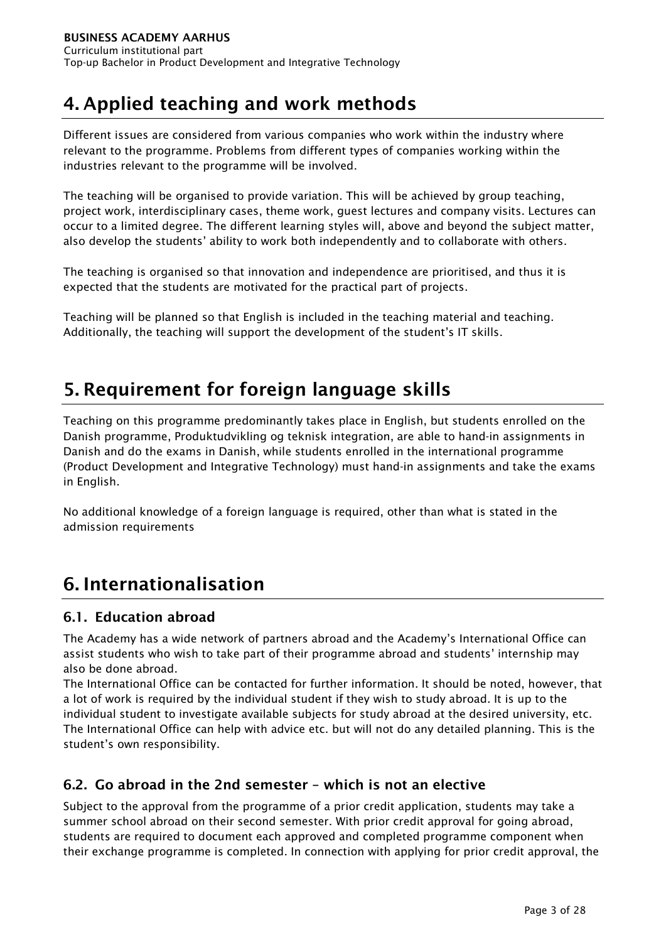# <span id="page-3-0"></span>4. Applied teaching and work methods

Different issues are considered from various companies who work within the industry where relevant to the programme. Problems from different types of companies working within the industries relevant to the programme will be involved.

The teaching will be organised to provide variation. This will be achieved by group teaching, project work, interdisciplinary cases, theme work, guest lectures and company visits. Lectures can occur to a limited degree. The different learning styles will, above and beyond the subject matter, also develop the students' ability to work both independently and to collaborate with others.

The teaching is organised so that innovation and independence are prioritised, and thus it is expected that the students are motivated for the practical part of projects.

Teaching will be planned so that English is included in the teaching material and teaching. Additionally, the teaching will support the development of the student's IT skills.

# <span id="page-3-1"></span>5. Requirement for foreign language skills

Teaching on this programme predominantly takes place in English, but students enrolled on the Danish programme, Produktudvikling og teknisk integration, are able to hand-in assignments in Danish and do the exams in Danish, while students enrolled in the international programme (Product Development and Integrative Technology) must hand-in assignments and take the exams in English.

No additional knowledge of a foreign language is required, other than what is stated in the admission requirements

# <span id="page-3-2"></span>6. Internationalisation

# <span id="page-3-3"></span>6.1. Education abroad

The Academy has a wide network of partners abroad and the Academy's International Office can assist students who wish to take part of their programme abroad and students' internship may also be done abroad.

The International Office can be contacted for further information. It should be noted, however, that a lot of work is required by the individual student if they wish to study abroad. It is up to the individual student to investigate available subjects for study abroad at the desired university, etc. The International Office can help with advice etc. but will not do any detailed planning. This is the student's own responsibility.

# <span id="page-3-4"></span>6.2. Go abroad in the 2nd semester – which is not an elective

Subject to the approval from the programme of a prior credit application, students may take a summer school abroad on their second semester. With prior credit approval for going abroad, students are required to document each approved and completed programme component when their exchange programme is completed. In connection with applying for prior credit approval, the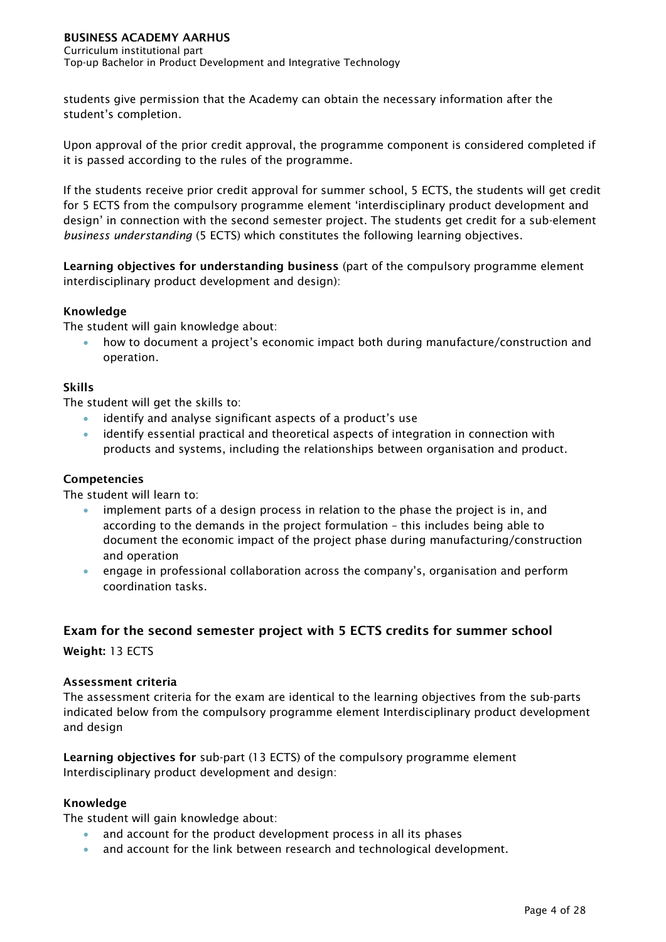Curriculum institutional part Top-up Bachelor in Product Development and Integrative Technology

students give permission that the Academy can obtain the necessary information after the student's completion.

Upon approval of the prior credit approval, the programme component is considered completed if it is passed according to the rules of the programme.

If the students receive prior credit approval for summer school, 5 ECTS, the students will get credit for 5 ECTS from the compulsory programme element 'interdisciplinary product development and design' in connection with the second semester project. The students get credit for a sub-element *business understanding* (5 ECTS) which constitutes the following learning objectives.

Learning objectives for understanding business (part of the compulsory programme element interdisciplinary product development and design):

# Knowledge

The student will gain knowledge about:

• how to document a project's economic impact both during manufacture/construction and operation.

## Skills

The student will get the skills to:

- identify and analyse significant aspects of a product's use
- identify essential practical and theoretical aspects of integration in connection with products and systems, including the relationships between organisation and product.

## Competencies

The student will learn to:

- implement parts of a design process in relation to the phase the project is in, and according to the demands in the project formulation – this includes being able to document the economic impact of the project phase during manufacturing/construction and operation
- engage in professional collaboration across the company's, organisation and perform coordination tasks.

# Exam for the second semester project with 5 ECTS credits for summer school

Weight: 13 ECTS

## Assessment criteria

The assessment criteria for the exam are identical to the learning objectives from the sub-parts indicated below from the compulsory programme element Interdisciplinary product development and design

Learning objectives for sub-part (13 ECTS) of the compulsory programme element Interdisciplinary product development and design:

## Knowledge

The student will gain knowledge about:

- and account for the product development process in all its phases
- and account for the link between research and technological development.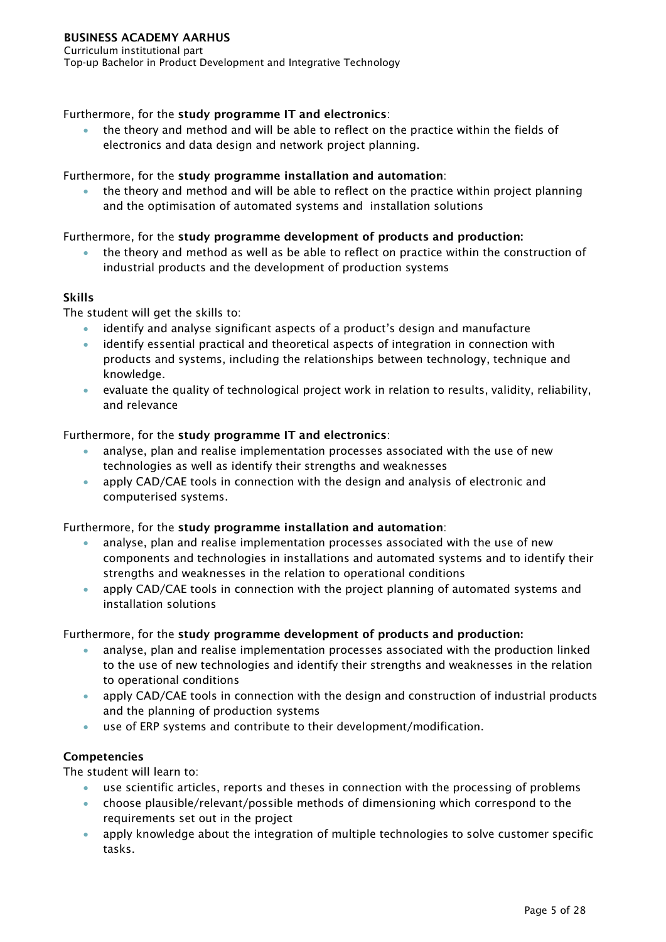# Furthermore, for the study programme IT and electronics:

• the theory and method and will be able to reflect on the practice within the fields of electronics and data design and network project planning.

# Furthermore, for the study programme installation and automation:

• the theory and method and will be able to reflect on the practice within project planning and the optimisation of automated systems and installation solutions

# Furthermore, for the study programme development of products and production:

• the theory and method as well as be able to reflect on practice within the construction of industrial products and the development of production systems

# Skills

The student will get the skills to:

- identify and analyse significant aspects of a product's design and manufacture
- identify essential practical and theoretical aspects of integration in connection with products and systems, including the relationships between technology, technique and knowledge.
- evaluate the quality of technological project work in relation to results, validity, reliability, and relevance

# Furthermore, for the study programme IT and electronics:

- analyse, plan and realise implementation processes associated with the use of new technologies as well as identify their strengths and weaknesses
- apply CAD/CAE tools in connection with the design and analysis of electronic and computerised systems.

## Furthermore, for the study programme installation and automation:

- analyse, plan and realise implementation processes associated with the use of new components and technologies in installations and automated systems and to identify their strengths and weaknesses in the relation to operational conditions
- apply CAD/CAE tools in connection with the project planning of automated systems and installation solutions

## Furthermore, for the study programme development of products and production:

- analyse, plan and realise implementation processes associated with the production linked to the use of new technologies and identify their strengths and weaknesses in the relation to operational conditions
- apply CAD/CAE tools in connection with the design and construction of industrial products and the planning of production systems
- use of ERP systems and contribute to their development/modification.

# Competencies

The student will learn to:

- use scientific articles, reports and theses in connection with the processing of problems
- choose plausible/relevant/possible methods of dimensioning which correspond to the requirements set out in the project
- apply knowledge about the integration of multiple technologies to solve customer specific tasks.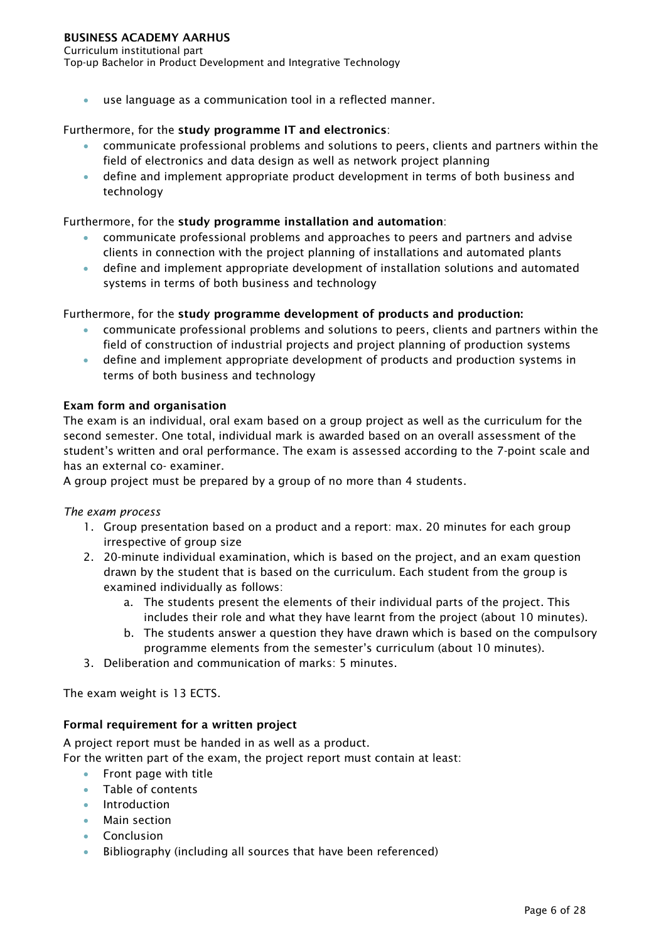Curriculum institutional part Top-up Bachelor in Product Development and Integrative Technology

use language as a communication tool in a reflected manner.

# Furthermore, for the study programme IT and electronics:

- communicate professional problems and solutions to peers, clients and partners within the field of electronics and data design as well as network project planning
- define and implement appropriate product development in terms of both business and technology

# Furthermore, for the study programme installation and automation:

- communicate professional problems and approaches to peers and partners and advise clients in connection with the project planning of installations and automated plants
- define and implement appropriate development of installation solutions and automated systems in terms of both business and technology

Furthermore, for the study programme development of products and production:

- communicate professional problems and solutions to peers, clients and partners within the field of construction of industrial projects and project planning of production systems
- define and implement appropriate development of products and production systems in terms of both business and technology

# Exam form and organisation

The exam is an individual, oral exam based on a group project as well as the curriculum for the second semester. One total, individual mark is awarded based on an overall assessment of the student's written and oral performance. The exam is assessed according to the 7-point scale and has an external co- examiner.

A group project must be prepared by a group of no more than 4 students.

## *The exam process*

- 1. Group presentation based on a product and a report: max. 20 minutes for each group irrespective of group size
- 2. 20-minute individual examination, which is based on the project, and an exam question drawn by the student that is based on the curriculum. Each student from the group is examined individually as follows:
	- a. The students present the elements of their individual parts of the project. This includes their role and what they have learnt from the project (about 10 minutes).
	- b. The students answer a question they have drawn which is based on the compulsory programme elements from the semester's curriculum (about 10 minutes).
- 3. Deliberation and communication of marks: 5 minutes.

The exam weight is 13 ECTS.

# Formal requirement for a written project

A project report must be handed in as well as a product.

For the written part of the exam, the project report must contain at least:

- Front page with title
- Table of contents
- Introduction
- Main section
- Conclusion
- Bibliography (including all sources that have been referenced)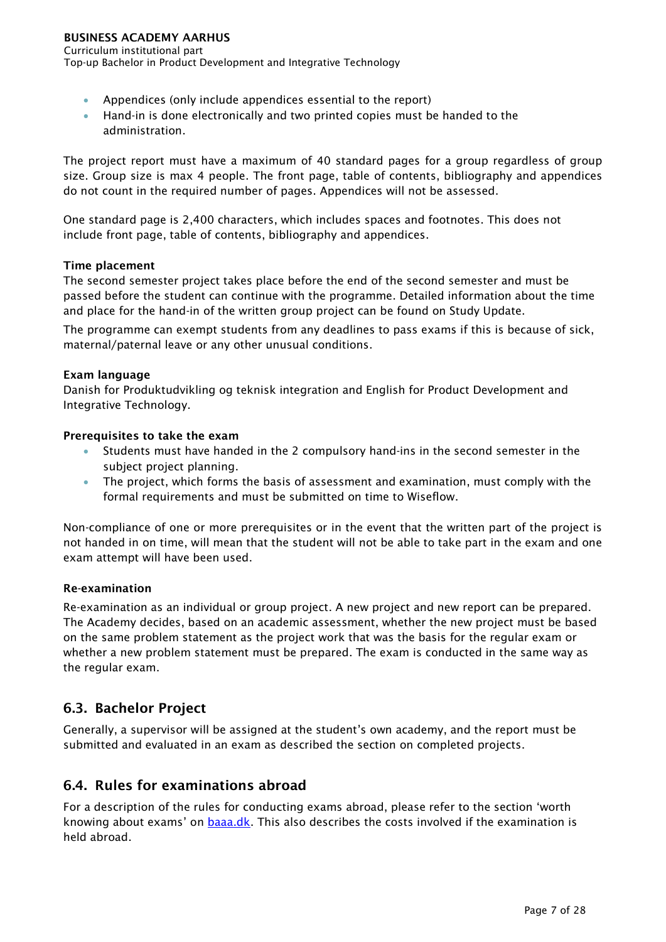Curriculum institutional part Top-up Bachelor in Product Development and Integrative Technology

- Appendices (only include appendices essential to the report)
- Hand-in is done electronically and two printed copies must be handed to the administration.

The project report must have a maximum of 40 standard pages for a group regardless of group size. Group size is max 4 people. The front page, table of contents, bibliography and appendices do not count in the required number of pages. Appendices will not be assessed.

One standard page is 2,400 characters, which includes spaces and footnotes. This does not include front page, table of contents, bibliography and appendices.

# Time placement

The second semester project takes place before the end of the second semester and must be passed before the student can continue with the programme. Detailed information about the time and place for the hand-in of the written group project can be found on Study Update.

The programme can exempt students from any deadlines to pass exams if this is because of sick, maternal/paternal leave or any other unusual conditions.

# Exam language

Danish for Produktudvikling og teknisk integration and English for Product Development and Integrative Technology.

# Prerequisites to take the exam

- Students must have handed in the 2 compulsory hand-ins in the second semester in the subject project planning.
- The project, which forms the basis of assessment and examination, must comply with the formal requirements and must be submitted on time to Wiseflow.

Non-compliance of one or more prerequisites or in the event that the written part of the project is not handed in on time, will mean that the student will not be able to take part in the exam and one exam attempt will have been used.

## Re-examination

Re-examination as an individual or group project. A new project and new report can be prepared. The Academy decides, based on an academic assessment, whether the new project must be based on the same problem statement as the project work that was the basis for the regular exam or whether a new problem statement must be prepared. The exam is conducted in the same way as the regular exam.

# <span id="page-7-0"></span>6.3. Bachelor Project

Generally, a supervisor will be assigned at the student's own academy, and the report must be submitted and evaluated in an exam as described the section on completed projects.

# <span id="page-7-1"></span>6.4. Rules for examinations abroad

For a description of the rules for conducting exams abroad, please refer to the section 'worth knowing about exams' on **baaa.dk**. This also describes the costs involved if the examination is held abroad.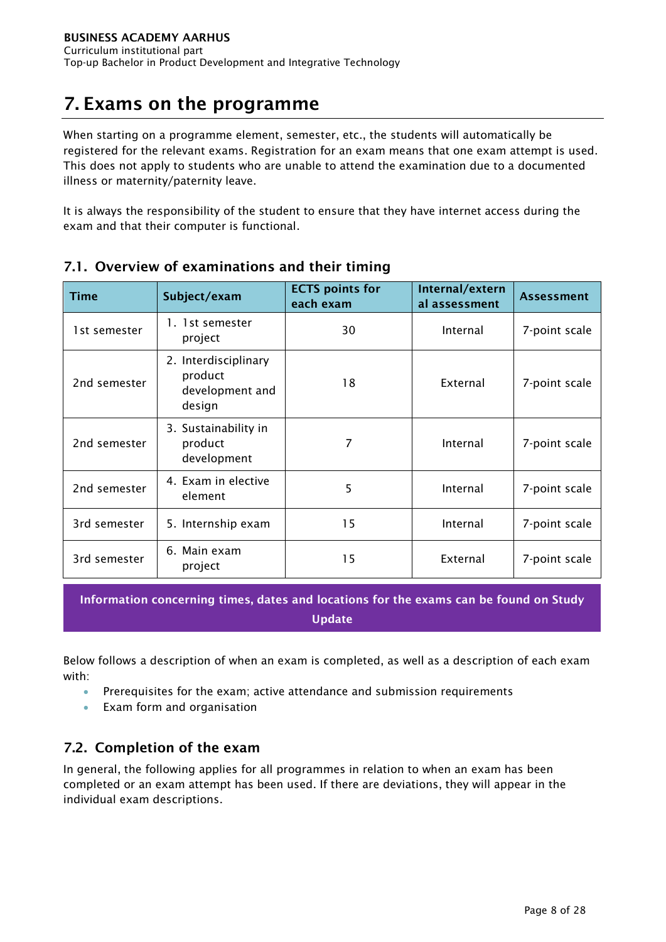# <span id="page-8-0"></span>7. Exams on the programme

When starting on a programme element, semester, etc., the students will automatically be registered for the relevant exams. Registration for an exam means that one exam attempt is used. This does not apply to students who are unable to attend the examination due to a documented illness or maternity/paternity leave.

It is always the responsibility of the student to ensure that they have internet access during the exam and that their computer is functional.

| <b>Time</b>  | Subject/exam                                                 | <b>ECTS</b> points for<br>each exam | Internal/extern<br>al assessment | <b>Assessment</b> |
|--------------|--------------------------------------------------------------|-------------------------------------|----------------------------------|-------------------|
| 1st semester | 1. 1st semester<br>project                                   | 30                                  | Internal                         | 7-point scale     |
| 2nd semester | 2. Interdisciplinary<br>product<br>development and<br>design | 18                                  | External                         | 7-point scale     |
| 2nd semester | 3. Sustainability in<br>product<br>development               | 7                                   | Internal                         | 7-point scale     |
| 2nd semester | 4. Exam in elective<br>element                               | 5                                   | Internal                         | 7-point scale     |
| 3rd semester | 5. Internship exam                                           | 15                                  | Internal                         | 7-point scale     |
| 3rd semester | 6. Main exam<br>project                                      | 15                                  | External                         | 7-point scale     |

# <span id="page-8-1"></span>7.1. Overview of examinations and their timing

Information concerning times, dates and locations for the exams can be found on Study Update

Below follows a description of when an exam is completed, as well as a description of each exam with:

- Prerequisites for the exam; active attendance and submission requirements
- Exam form and organisation

# <span id="page-8-2"></span>7.2. Completion of the exam

In general, the following applies for all programmes in relation to when an exam has been completed or an exam attempt has been used. If there are deviations, they will appear in the individual exam descriptions.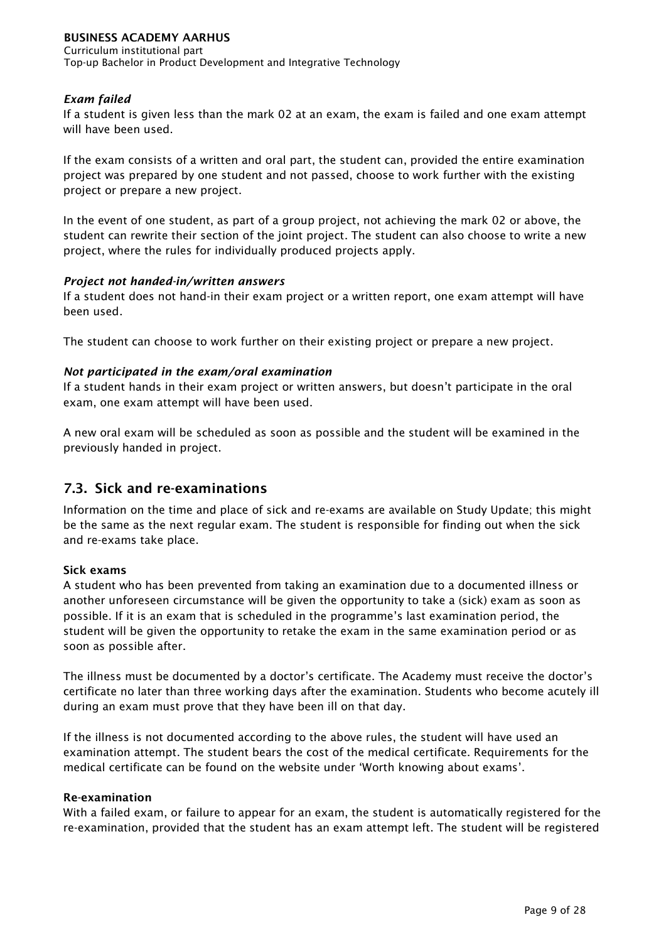Curriculum institutional part Top-up Bachelor in Product Development and Integrative Technology

# *Exam failed*

If a student is given less than the mark 02 at an exam, the exam is failed and one exam attempt will have been used.

If the exam consists of a written and oral part, the student can, provided the entire examination project was prepared by one student and not passed, choose to work further with the existing project or prepare a new project.

In the event of one student, as part of a group project, not achieving the mark 02 or above, the student can rewrite their section of the joint project. The student can also choose to write a new project, where the rules for individually produced projects apply.

## *Project not handed-in/written answers*

If a student does not hand-in their exam project or a written report, one exam attempt will have been used.

The student can choose to work further on their existing project or prepare a new project.

## *Not participated in the exam/oral examination*

If a student hands in their exam project or written answers, but doesn't participate in the oral exam, one exam attempt will have been used.

A new oral exam will be scheduled as soon as possible and the student will be examined in the previously handed in project.

# <span id="page-9-0"></span>7.3. Sick and re-examinations

Information on the time and place of sick and re-exams are available on Study Update; this might be the same as the next regular exam. The student is responsible for finding out when the sick and re-exams take place.

## Sick exams

A student who has been prevented from taking an examination due to a documented illness or another unforeseen circumstance will be given the opportunity to take a (sick) exam as soon as possible. If it is an exam that is scheduled in the programme's last examination period, the student will be given the opportunity to retake the exam in the same examination period or as soon as possible after.

The illness must be documented by a doctor's certificate. The Academy must receive the doctor's certificate no later than three working days after the examination. Students who become acutely ill during an exam must prove that they have been ill on that day.

If the illness is not documented according to the above rules, the student will have used an examination attempt. The student bears the cost of the medical certificate. Requirements for the medical certificate can be found on the website under 'Worth knowing about exams'.

## Re-examination

With a failed exam, or failure to appear for an exam, the student is automatically registered for the re-examination, provided that the student has an exam attempt left. The student will be registered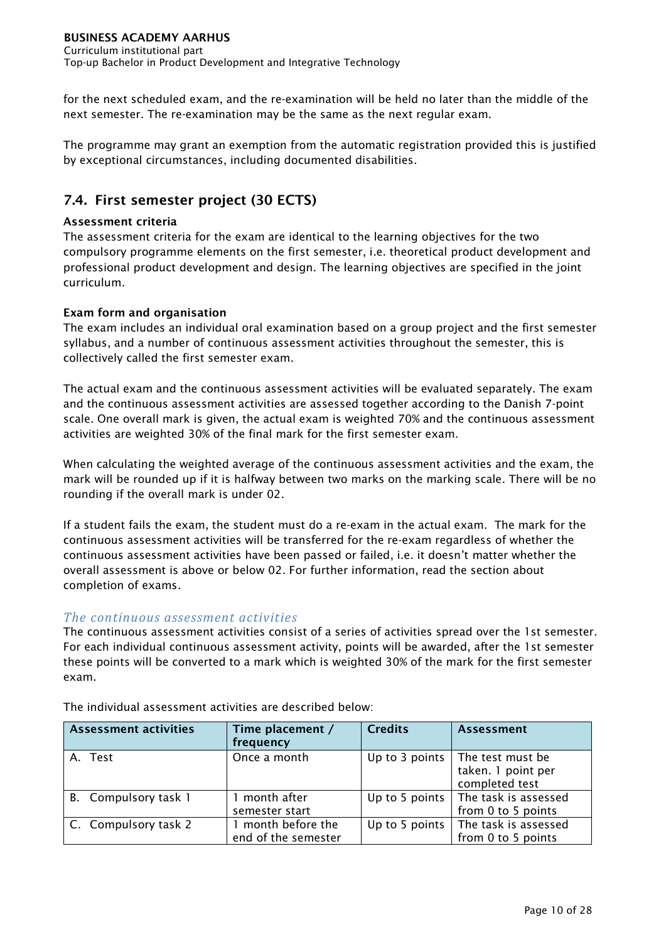for the next scheduled exam, and the re-examination will be held no later than the middle of the next semester. The re-examination may be the same as the next regular exam.

The programme may grant an exemption from the automatic registration provided this is justified by exceptional circumstances, including documented disabilities.

# <span id="page-10-0"></span>7.4. First semester project (30 ECTS)

# Assessment criteria

The assessment criteria for the exam are identical to the learning objectives for the two compulsory programme elements on the first semester, i.e. theoretical product development and professional product development and design. The learning objectives are specified in the joint curriculum.

# Exam form and organisation

The exam includes an individual oral examination based on a group project and the first semester syllabus, and a number of continuous assessment activities throughout the semester, this is collectively called the first semester exam.

The actual exam and the continuous assessment activities will be evaluated separately. The exam and the continuous assessment activities are assessed together according to the Danish 7-point scale. One overall mark is given, the actual exam is weighted 70% and the continuous assessment activities are weighted 30% of the final mark for the first semester exam.

When calculating the weighted average of the continuous assessment activities and the exam, the mark will be rounded up if it is halfway between two marks on the marking scale. There will be no rounding if the overall mark is under 02.

If a student fails the exam, the student must do a re-exam in the actual exam. The mark for the continuous assessment activities will be transferred for the re-exam regardless of whether the continuous assessment activities have been passed or failed, i.e. it doesn't matter whether the overall assessment is above or below 02. For further information, read the section about completion of exams.

# *The continuous assessment activities*

The continuous assessment activities consist of a series of activities spread over the 1st semester. For each individual continuous assessment activity, points will be awarded, after the 1st semester these points will be converted to a mark which is weighted 30% of the mark for the first semester exam.

| <b>Assessment activities</b> | Time placement /<br>frequency           | <b>Credits</b>     | <b>Assessment</b>                                        |
|------------------------------|-----------------------------------------|--------------------|----------------------------------------------------------|
| A. Test                      | Once a month                            | Up to 3 points $ $ | The test must be<br>taken. 1 point per<br>completed test |
| B. Compulsory task 1         | month after<br>semester start           | Up to 5 points     | The task is assessed<br>from 0 to 5 points               |
| C. Compulsory task 2         | month before the<br>end of the semester | Up to 5 points     | The task is assessed<br>from 0 to 5 points               |

The individual assessment activities are described below: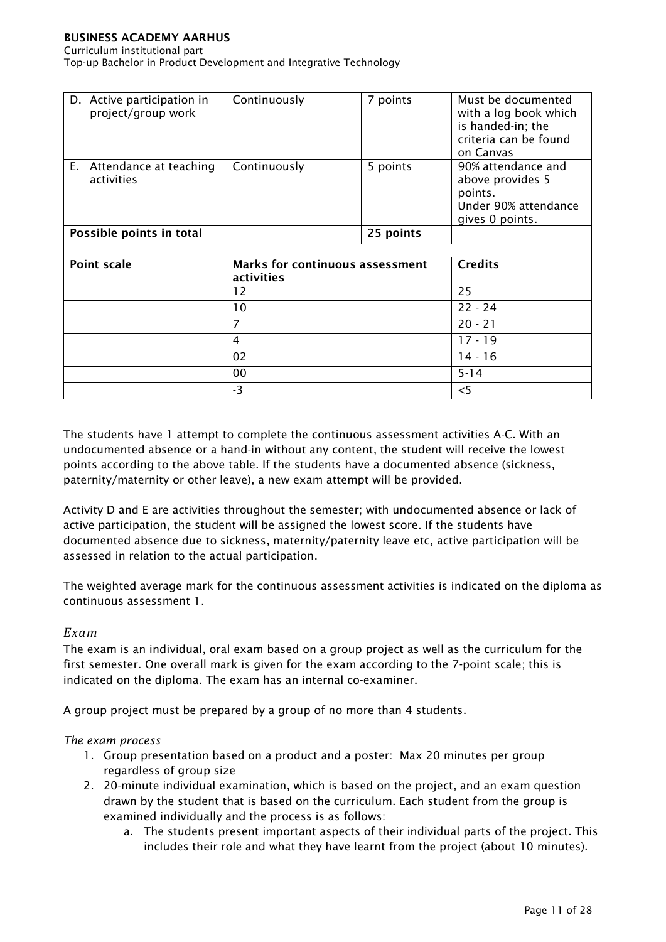#### Curriculum institutional part

Top-up Bachelor in Product Development and Integrative Technology

| D. Active participation in<br>project/group work | Continuously                                  | 7 points  | Must be documented<br>with a log book which<br>is handed-in; the<br>criteria can be found<br>on Canvas |
|--------------------------------------------------|-----------------------------------------------|-----------|--------------------------------------------------------------------------------------------------------|
| E. Attendance at teaching<br>activities          | Continuously                                  | 5 points  | 90% attendance and<br>above provides 5<br>points.<br>Under 90% attendance<br>gives 0 points.           |
| Possible points in total                         |                                               | 25 points |                                                                                                        |
|                                                  |                                               |           |                                                                                                        |
| <b>Point scale</b>                               | Marks for continuous assessment<br>activities |           | <b>Credits</b>                                                                                         |
|                                                  | 12                                            |           | 25                                                                                                     |
|                                                  | 10                                            |           | $22 - 24$                                                                                              |
|                                                  | 7                                             |           | $20 - 21$                                                                                              |

4 17 - 19  $02$  14 - 16 00 5-14  $-3$   $|<5$ 

| The students have 1 attempt to complete the continuous assessment activities A-C. With an  |
|--------------------------------------------------------------------------------------------|
| undocumented absence or a hand-in without any content, the student will receive the lowest |
| points according to the above table. If the students have a documented absence (sickness,  |
| paternity/maternity or other leave), a new exam attempt will be provided.                  |

Activity D and E are activities throughout the semester; with undocumented absence or lack of active participation, the student will be assigned the lowest score. If the students have documented absence due to sickness, maternity/paternity leave etc, active participation will be assessed in relation to the actual participation.

The weighted average mark for the continuous assessment activities is indicated on the diploma as continuous assessment 1.

## *Exam*

The exam is an individual, oral exam based on a group project as well as the curriculum for the first semester. One overall mark is given for the exam according to the 7-point scale; this is indicated on the diploma. The exam has an internal co-examiner.

A group project must be prepared by a group of no more than 4 students.

#### *The exam process*

- 1. Group presentation based on a product and a poster: Max 20 minutes per group regardless of group size
- 2. 20-minute individual examination, which is based on the project, and an exam question drawn by the student that is based on the curriculum. Each student from the group is examined individually and the process is as follows:
	- a. The students present important aspects of their individual parts of the project. This includes their role and what they have learnt from the project (about 10 minutes).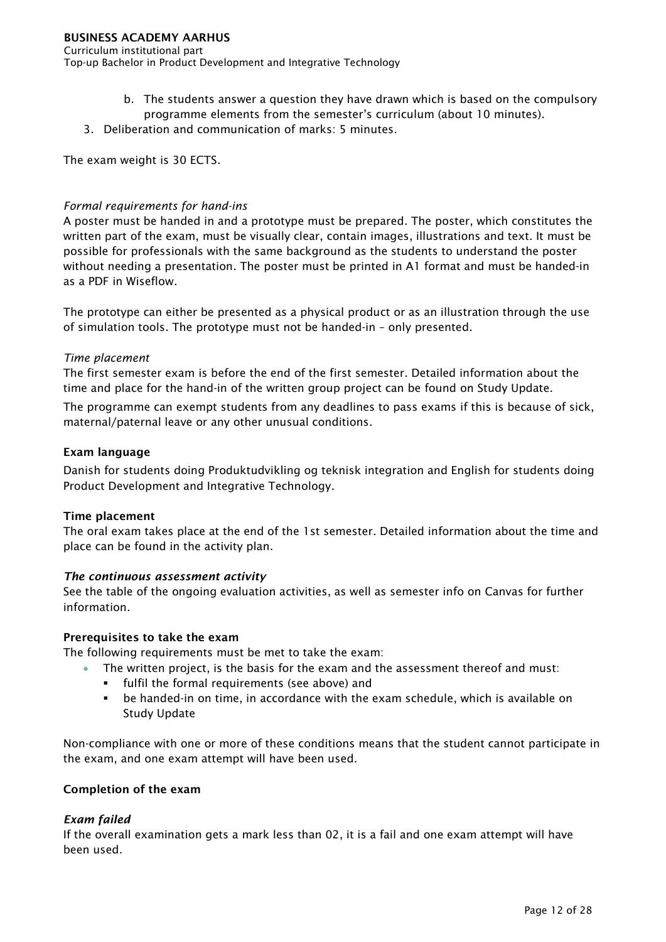Curriculum institutional part Top-up Bachelor in Product Development and Integrative Technology

- b. The students answer a question they have drawn which is based on the compulsory programme elements from the semester's curriculum (about 10 minutes).
- 3. Deliberation and communication of marks: 5 minutes.

The exam weight is 30 ECTS.

# *Formal requirements for hand-ins*

A poster must be handed in and a prototype must be prepared. The poster, which constitutes the written part of the exam, must be visually clear, contain images, illustrations and text. It must be possible for professionals with the same background as the students to understand the poster without needing a presentation. The poster must be printed in A1 format and must be handed-in as a PDF in Wiseflow.

The prototype can either be presented as a physical product or as an illustration through the use of simulation tools. The prototype must not be handed-in – only presented.

## *Time placement*

The first semester exam is before the end of the first semester. Detailed information about the time and place for the hand-in of the written group project can be found on Study Update.

The programme can exempt students from any deadlines to pass exams if this is because of sick, maternal/paternal leave or any other unusual conditions.

## Exam language

Danish for students doing Produktudvikling og teknisk integration and English for students doing Product Development and Integrative Technology.

## Time placement

The oral exam takes place at the end of the 1st semester. Detailed information about the time and place can be found in the activity plan.

# *The continuous assessment activity*

See the table of the ongoing evaluation activities, as well as semester info on Canvas for further information.

## Prerequisites to take the exam

The following requirements must be met to take the exam:

- The written project, is the basis for the exam and the assessment thereof and must:
	- fulfil the formal requirements (see above) and
	- be handed-in on time, in accordance with the exam schedule, which is available on Study Update

Non-compliance with one or more of these conditions means that the student cannot participate in the exam, and one exam attempt will have been used.

## Completion of the exam

## *Exam failed*

If the overall examination gets a mark less than 02, it is a fail and one exam attempt will have been used.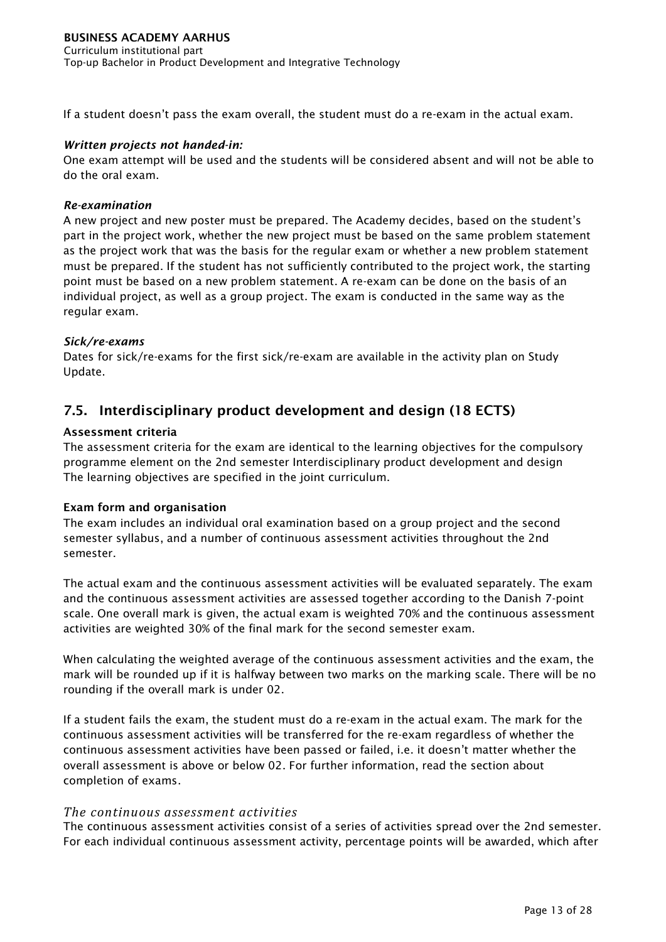If a student doesn't pass the exam overall, the student must do a re-exam in the actual exam.

# *Written projects not handed-in:*

One exam attempt will be used and the students will be considered absent and will not be able to do the oral exam.

# *Re-examination*

A new project and new poster must be prepared. The Academy decides, based on the student's part in the project work, whether the new project must be based on the same problem statement as the project work that was the basis for the regular exam or whether a new problem statement must be prepared. If the student has not sufficiently contributed to the project work, the starting point must be based on a new problem statement. A re-exam can be done on the basis of an individual project, as well as a group project. The exam is conducted in the same way as the regular exam.

# *Sick/re-exams*

Dates for sick/re-exams for the first sick/re-exam are available in the activity plan on Study Update.

# <span id="page-13-0"></span>7.5. Interdisciplinary product development and design (18 ECTS)

# Assessment criteria

The assessment criteria for the exam are identical to the learning objectives for the compulsory programme element on the 2nd semester Interdisciplinary product development and design The learning objectives are specified in the joint curriculum.

## Exam form and organisation

The exam includes an individual oral examination based on a group project and the second semester syllabus, and a number of continuous assessment activities throughout the 2nd semester.

The actual exam and the continuous assessment activities will be evaluated separately. The exam and the continuous assessment activities are assessed together according to the Danish 7-point scale. One overall mark is given, the actual exam is weighted 70% and the continuous assessment activities are weighted 30% of the final mark for the second semester exam.

When calculating the weighted average of the continuous assessment activities and the exam, the mark will be rounded up if it is halfway between two marks on the marking scale. There will be no rounding if the overall mark is under 02.

If a student fails the exam, the student must do a re-exam in the actual exam. The mark for the continuous assessment activities will be transferred for the re-exam regardless of whether the continuous assessment activities have been passed or failed, i.e. it doesn't matter whether the overall assessment is above or below 02. For further information, read the section about completion of exams.

## *The continuous assessment activities*

The continuous assessment activities consist of a series of activities spread over the 2nd semester. For each individual continuous assessment activity, percentage points will be awarded, which after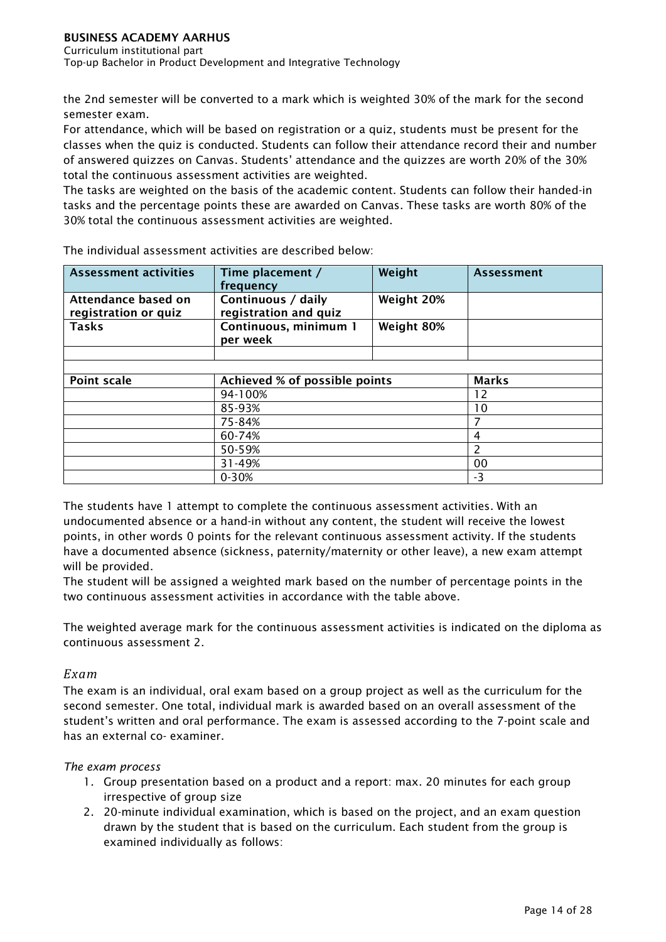Curriculum institutional part Top-up Bachelor in Product Development and Integrative Technology

the 2nd semester will be converted to a mark which is weighted 30% of the mark for the second semester exam.

For attendance, which will be based on registration or a quiz, students must be present for the classes when the quiz is conducted. Students can follow their attendance record their and number of answered quizzes on Canvas. Students' attendance and the quizzes are worth 20% of the 30% total the continuous assessment activities are weighted.

The tasks are weighted on the basis of the academic content. Students can follow their handed-in tasks and the percentage points these are awarded on Canvas. These tasks are worth 80% of the 30% total the continuous assessment activities are weighted.

| <b>Assessment activities</b>                | Time placement /<br>frequency               | Weight     | <b>Assessment</b> |
|---------------------------------------------|---------------------------------------------|------------|-------------------|
| Attendance based on<br>registration or quiz | Continuous / daily<br>registration and quiz | Weight 20% |                   |
| <b>Tasks</b>                                | Continuous, minimum 1<br>per week           | Weight 80% |                   |
|                                             |                                             |            |                   |
|                                             |                                             |            |                   |
|                                             | Achieved % of possible points               |            |                   |
| <b>Point scale</b>                          |                                             |            | <b>Marks</b>      |
|                                             | 94-100%                                     |            | 12                |
|                                             | 85-93%                                      |            | 10                |
|                                             | 75-84%                                      |            |                   |
|                                             | 60-74%                                      |            | 4                 |
|                                             | 50-59%                                      |            | 2                 |
|                                             | 31-49%                                      |            | 00                |

The individual assessment activities are described below:

The students have 1 attempt to complete the continuous assessment activities. With an undocumented absence or a hand-in without any content, the student will receive the lowest points, in other words 0 points for the relevant continuous assessment activity. If the students have a documented absence (sickness, paternity/maternity or other leave), a new exam attempt will be provided.

The student will be assigned a weighted mark based on the number of percentage points in the two continuous assessment activities in accordance with the table above.

The weighted average mark for the continuous assessment activities is indicated on the diploma as continuous assessment 2.

# *Exam*

The exam is an individual, oral exam based on a group project as well as the curriculum for the second semester. One total, individual mark is awarded based on an overall assessment of the student's written and oral performance. The exam is assessed according to the 7-point scale and has an external co- examiner.

# *The exam process*

- 1. Group presentation based on a product and a report: max. 20 minutes for each group irrespective of group size
- 2. 20-minute individual examination, which is based on the project, and an exam question drawn by the student that is based on the curriculum. Each student from the group is examined individually as follows: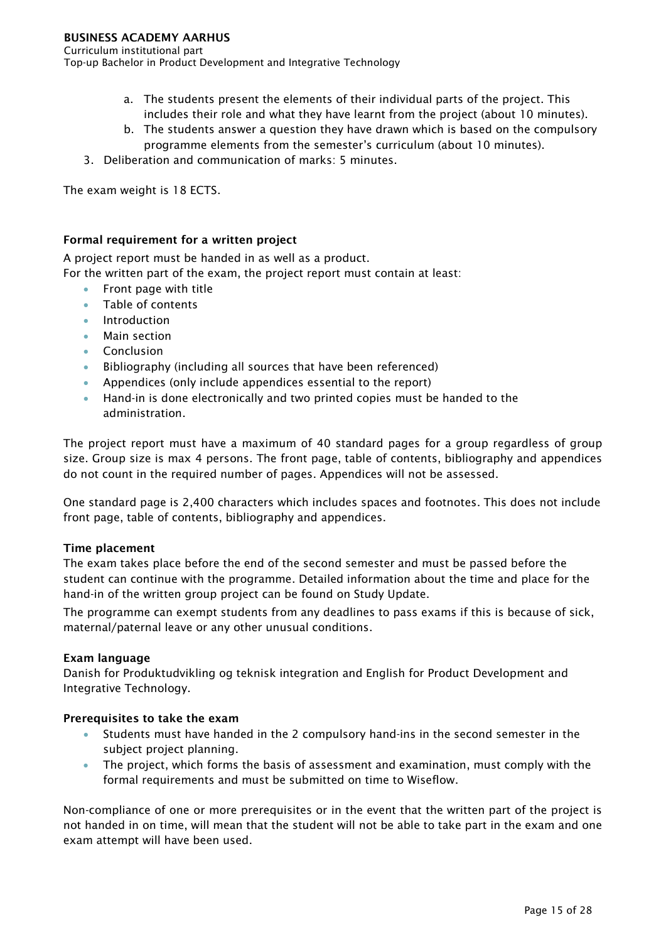Curriculum institutional part

Top-up Bachelor in Product Development and Integrative Technology

- a. The students present the elements of their individual parts of the project. This includes their role and what they have learnt from the project (about 10 minutes).
- b. The students answer a question they have drawn which is based on the compulsory programme elements from the semester's curriculum (about 10 minutes).
- 3. Deliberation and communication of marks: 5 minutes.

The exam weight is 18 ECTS.

## Formal requirement for a written project

A project report must be handed in as well as a product.

For the written part of the exam, the project report must contain at least:

- Front page with title
- Table of contents
- **Introduction**
- Main section
- **Conclusion**
- Bibliography (including all sources that have been referenced)
- Appendices (only include appendices essential to the report)
- Hand-in is done electronically and two printed copies must be handed to the administration.

The project report must have a maximum of 40 standard pages for a group regardless of group size. Group size is max 4 persons. The front page, table of contents, bibliography and appendices do not count in the required number of pages. Appendices will not be assessed.

One standard page is 2,400 characters which includes spaces and footnotes. This does not include front page, table of contents, bibliography and appendices.

## Time placement

The exam takes place before the end of the second semester and must be passed before the student can continue with the programme. Detailed information about the time and place for the hand-in of the written group project can be found on Study Update.

The programme can exempt students from any deadlines to pass exams if this is because of sick, maternal/paternal leave or any other unusual conditions.

#### Exam language

Danish for Produktudvikling og teknisk integration and English for Product Development and Integrative Technology.

## Prerequisites to take the exam

- Students must have handed in the 2 compulsory hand-ins in the second semester in the subject project planning.
- The project, which forms the basis of assessment and examination, must comply with the formal requirements and must be submitted on time to Wiseflow.

Non-compliance of one or more prerequisites or in the event that the written part of the project is not handed in on time, will mean that the student will not be able to take part in the exam and one exam attempt will have been used.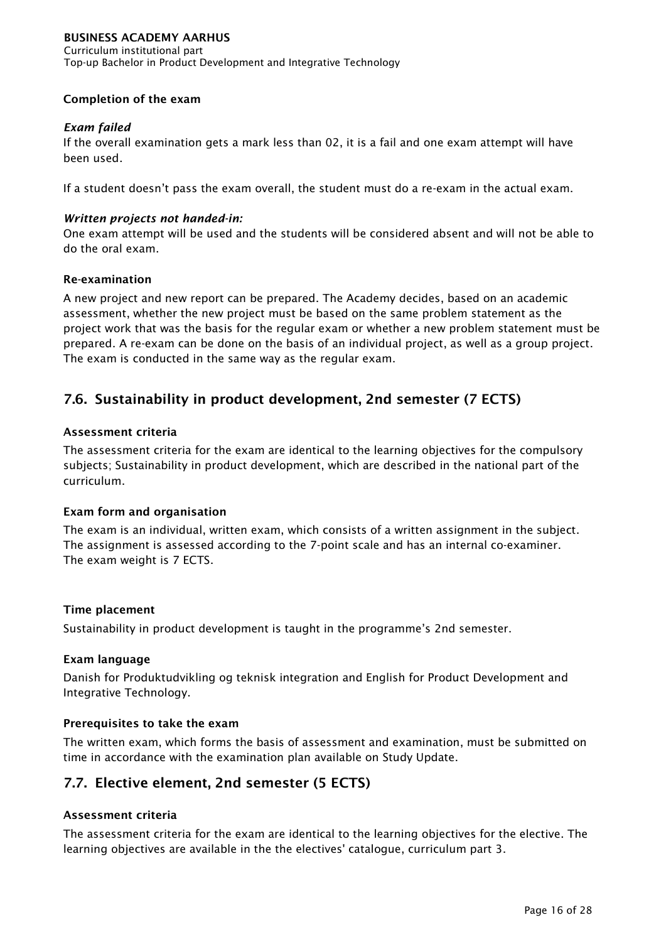Curriculum institutional part Top-up Bachelor in Product Development and Integrative Technology

# Completion of the exam

# *Exam failed*

If the overall examination gets a mark less than 02, it is a fail and one exam attempt will have been used.

If a student doesn't pass the exam overall, the student must do a re-exam in the actual exam.

# *Written projects not handed-in:*

One exam attempt will be used and the students will be considered absent and will not be able to do the oral exam.

## Re-examination

A new project and new report can be prepared. The Academy decides, based on an academic assessment, whether the new project must be based on the same problem statement as the project work that was the basis for the regular exam or whether a new problem statement must be prepared. A re-exam can be done on the basis of an individual project, as well as a group project. The exam is conducted in the same way as the regular exam.

# <span id="page-16-0"></span>7.6. Sustainability in product development, 2nd semester (7 ECTS)

## Assessment criteria

The assessment criteria for the exam are identical to the learning objectives for the compulsory subjects; Sustainability in product development, which are described in the national part of the curriculum.

## Exam form and organisation

The exam is an individual, written exam, which consists of a written assignment in the subject. The assignment is assessed according to the 7-point scale and has an internal co-examiner. The exam weight is 7 ECTS.

## Time placement

Sustainability in product development is taught in the programme's 2nd semester.

## Exam language

Danish for Produktudvikling og teknisk integration and English for Product Development and Integrative Technology.

## Prerequisites to take the exam

The written exam, which forms the basis of assessment and examination, must be submitted on time in accordance with the examination plan available on Study Update.

# <span id="page-16-1"></span>7.7. Elective element, 2nd semester (5 ECTS)

# Assessment criteria

The assessment criteria for the exam are identical to the learning objectives for the elective. The learning objectives are available in the the electives' catalogue, curriculum part 3.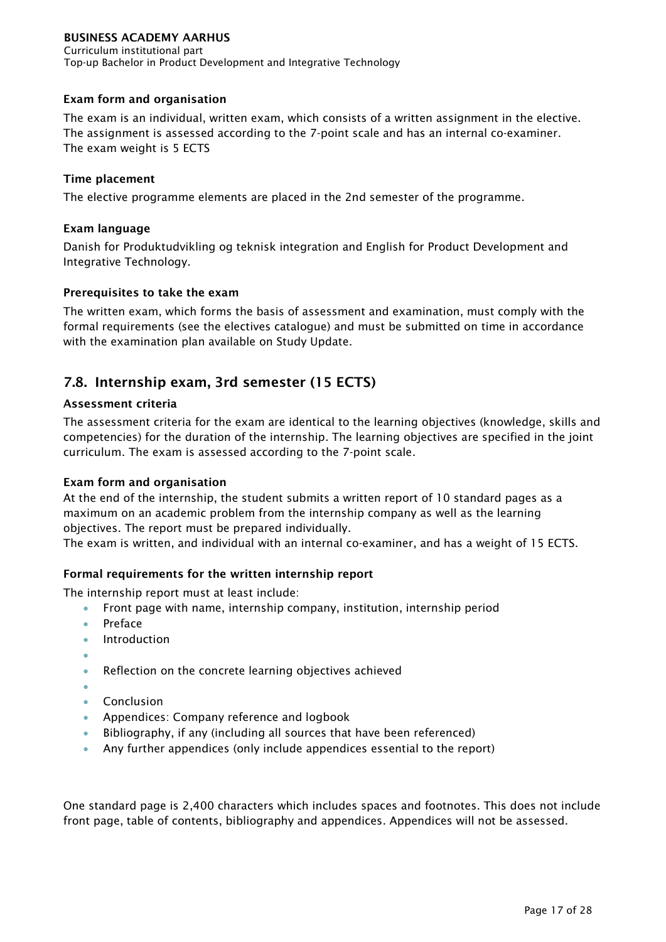Curriculum institutional part Top-up Bachelor in Product Development and Integrative Technology

# Exam form and organisation

The exam is an individual, written exam, which consists of a written assignment in the elective. The assignment is assessed according to the 7-point scale and has an internal co-examiner. The exam weight is 5 ECTS

# Time placement

The elective programme elements are placed in the 2nd semester of the programme.

# Exam language

Danish for Produktudvikling og teknisk integration and English for Product Development and Integrative Technology.

# Prerequisites to take the exam

The written exam, which forms the basis of assessment and examination, must comply with the formal requirements (see the electives catalogue) and must be submitted on time in accordance with the examination plan available on Study Update.

# <span id="page-17-0"></span>7.8. Internship exam, 3rd semester (15 ECTS)

# Assessment criteria

The assessment criteria for the exam are identical to the learning objectives (knowledge, skills and competencies) for the duration of the internship. The learning objectives are specified in the joint curriculum. The exam is assessed according to the 7-point scale.

# Exam form and organisation

At the end of the internship, the student submits a written report of 10 standard pages as a maximum on an academic problem from the internship company as well as the learning objectives. The report must be prepared individually.

The exam is written, and individual with an internal co-examiner, and has a weight of 15 ECTS.

# Formal requirements for the written internship report

The internship report must at least include:

- Front page with name, internship company, institution, internship period
- Preface
- **Introduction**
- •
- Reflection on the concrete learning objectives achieved
- •
- Conclusion
- Appendices: Company reference and logbook
- Bibliography, if any (including all sources that have been referenced)
- Any further appendices (only include appendices essential to the report)

One standard page is 2,400 characters which includes spaces and footnotes. This does not include front page, table of contents, bibliography and appendices. Appendices will not be assessed.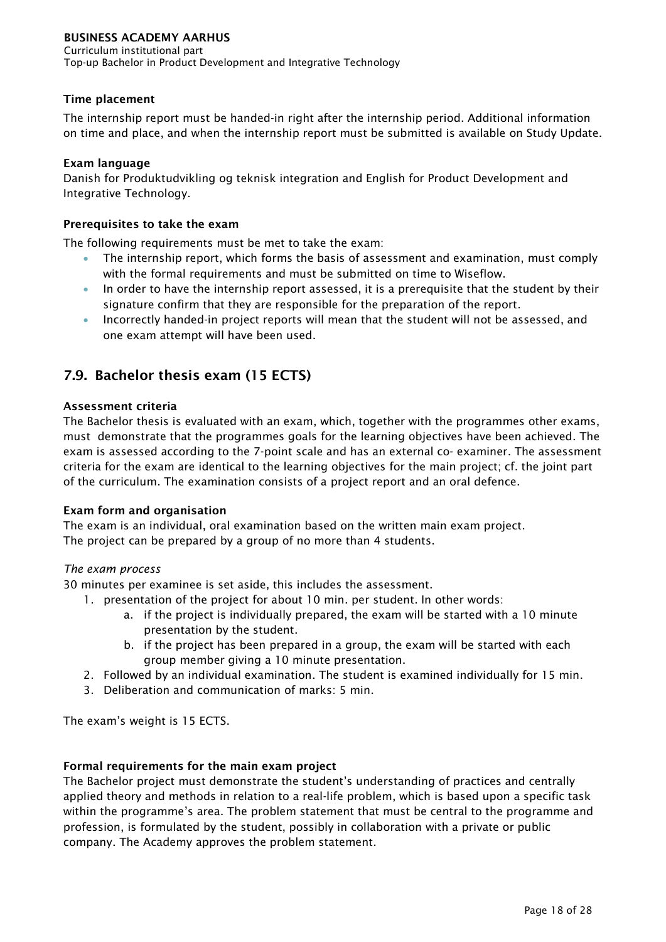Curriculum institutional part Top-up Bachelor in Product Development and Integrative Technology

# Time placement

The internship report must be handed-in right after the internship period. Additional information on time and place, and when the internship report must be submitted is available on Study Update.

# Exam language

Danish for Produktudvikling og teknisk integration and English for Product Development and Integrative Technology.

# Prerequisites to take the exam

The following requirements must be met to take the exam:

- The internship report, which forms the basis of assessment and examination, must comply with the formal requirements and must be submitted on time to Wiseflow.
- In order to have the internship report assessed, it is a prerequisite that the student by their signature confirm that they are responsible for the preparation of the report.
- Incorrectly handed-in project reports will mean that the student will not be assessed, and one exam attempt will have been used.

# <span id="page-18-0"></span>7.9. Bachelor thesis exam (15 ECTS)

# Assessment criteria

The Bachelor thesis is evaluated with an exam, which, together with the programmes other exams, must demonstrate that the programmes goals for the learning objectives have been achieved. The exam is assessed according to the 7-point scale and has an external co- examiner. The assessment criteria for the exam are identical to the learning objectives for the main project; cf. the joint part of the curriculum. The examination consists of a project report and an oral defence.

## Exam form and organisation

The exam is an individual, oral examination based on the written main exam project. The project can be prepared by a group of no more than 4 students.

## *The exam process*

30 minutes per examinee is set aside, this includes the assessment.

- 1. presentation of the project for about 10 min. per student. In other words:
	- a. if the project is individually prepared, the exam will be started with a 10 minute presentation by the student.
	- b. if the project has been prepared in a group, the exam will be started with each group member giving a 10 minute presentation.
- 2. Followed by an individual examination. The student is examined individually for 15 min.
- 3. Deliberation and communication of marks: 5 min.

The exam's weight is 15 ECTS.

# Formal requirements for the main exam project

The Bachelor project must demonstrate the student's understanding of practices and centrally applied theory and methods in relation to a real-life problem, which is based upon a specific task within the programme's area. The problem statement that must be central to the programme and profession, is formulated by the student, possibly in collaboration with a private or public company. The Academy approves the problem statement.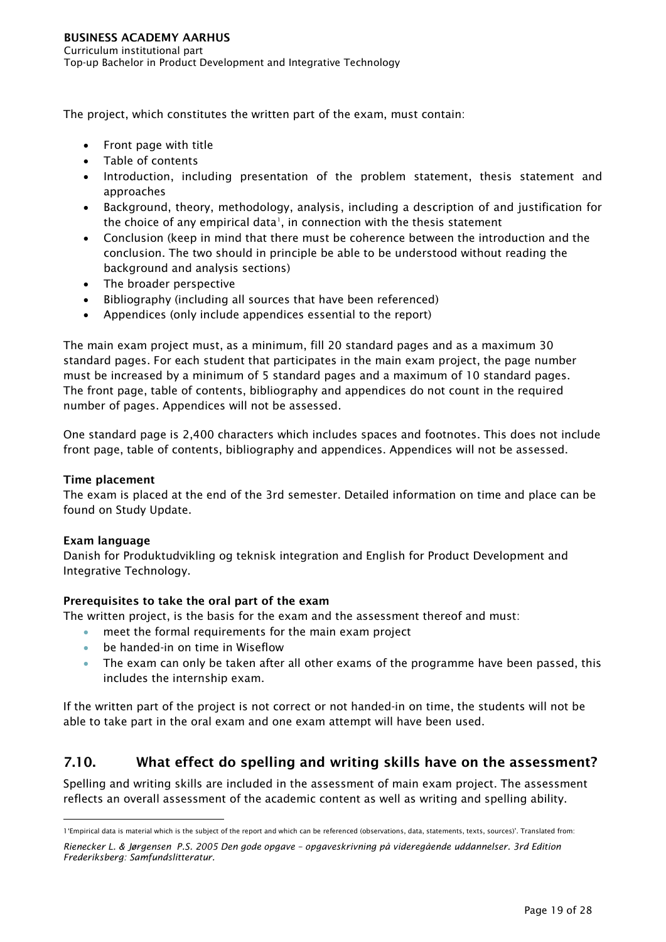The project, which constitutes the written part of the exam, must contain:

- Front page with title
- Table of contents
- Introduction, including presentation of the problem statement, thesis statement and approaches
- Background, theory, methodology, analysis, including a description of and justification for the choice of any empirical data<sup>[1](#page-19-1)</sup>, in connection with the thesis statement
- Conclusion (keep in mind that there must be coherence between the introduction and the conclusion. The two should in principle be able to be understood without reading the background and analysis sections)
- The broader perspective
- Bibliography (including all sources that have been referenced)
- Appendices (only include appendices essential to the report)

The main exam project must, as a minimum, fill 20 standard pages and as a maximum 30 standard pages. For each student that participates in the main exam project, the page number must be increased by a minimum of 5 standard pages and a maximum of 10 standard pages. The front page, table of contents, bibliography and appendices do not count in the required number of pages. Appendices will not be assessed.

One standard page is 2,400 characters which includes spaces and footnotes. This does not include front page, table of contents, bibliography and appendices. Appendices will not be assessed.

# Time placement

The exam is placed at the end of the 3rd semester. Detailed information on time and place can be found on Study Update.

# Exam language

Danish for Produktudvikling og teknisk integration and English for Product Development and Integrative Technology.

# Prerequisites to take the oral part of the exam

The written project, is the basis for the exam and the assessment thereof and must:

- meet the formal requirements for the main exam project
- be handed-in on time in Wiseflow
- The exam can only be taken after all other exams of the programme have been passed, this includes the internship exam.

If the written part of the project is not correct or not handed-in on time, the students will not be able to take part in the oral exam and one exam attempt will have been used.

# <span id="page-19-0"></span>7.10. What effect do spelling and writing skills have on the assessment?

Spelling and writing skills are included in the assessment of main exam project. The assessment reflects an overall assessment of the academic content as well as writing and spelling ability.

<span id="page-19-1"></span> <sup>1&#</sup>x27;Empirical data is material which is the subject of the report and which can be referenced (observations, data, statements, texts, sources)'. Translated from:

*Rienecker L. & Jørgensen P.S. 2005 Den gode opgave – opgaveskrivning på videregående uddannelser. 3rd Edition Frederiksberg: Samfundslitteratur.*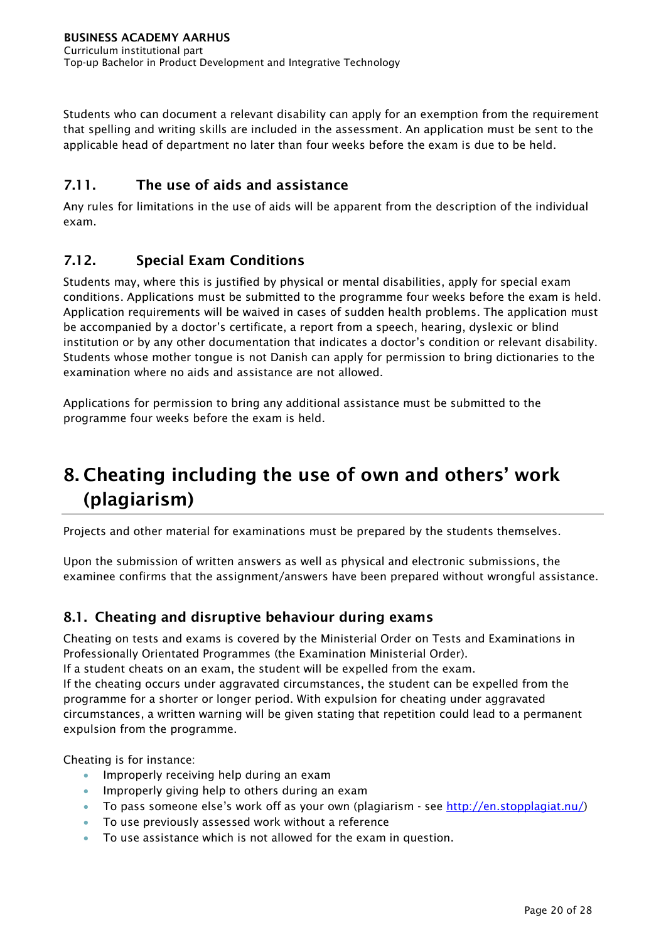Students who can document a relevant disability can apply for an exemption from the requirement that spelling and writing skills are included in the assessment. An application must be sent to the applicable head of department no later than four weeks before the exam is due to be held.

# <span id="page-20-0"></span>7.11. The use of aids and assistance

Any rules for limitations in the use of aids will be apparent from the description of the individual exam.

# <span id="page-20-1"></span>7.12. Special Exam Conditions

Students may, where this is justified by physical or mental disabilities, apply for special exam conditions. Applications must be submitted to the programme four weeks before the exam is held. Application requirements will be waived in cases of sudden health problems. The application must be accompanied by a doctor's certificate, a report from a speech, hearing, dyslexic or blind institution or by any other documentation that indicates a doctor's condition or relevant disability. Students whose mother tongue is not Danish can apply for permission to bring dictionaries to the examination where no aids and assistance are not allowed.

Applications for permission to bring any additional assistance must be submitted to the programme four weeks before the exam is held.

# <span id="page-20-2"></span>8. Cheating including the use of own and others' work (plagiarism)

Projects and other material for examinations must be prepared by the students themselves.

Upon the submission of written answers as well as physical and electronic submissions, the examinee confirms that the assignment/answers have been prepared without wrongful assistance.

# <span id="page-20-3"></span>8.1. Cheating and disruptive behaviour during exams

Cheating on tests and exams is covered by the Ministerial Order on Tests and Examinations in Professionally Orientated Programmes (the Examination Ministerial Order).

If a student cheats on an exam, the student will be expelled from the exam.

If the cheating occurs under aggravated circumstances, the student can be expelled from the programme for a shorter or longer period. With expulsion for cheating under aggravated circumstances, a written warning will be given stating that repetition could lead to a permanent expulsion from the programme.

Cheating is for instance:

- Improperly receiving help during an exam
- Improperly giving help to others during an exam
- To pass someone else's work off as your own (plagiarism see [http://en.stopplagiat.nu/\)](http://www.stopplagiat.nu/)
- To use previously assessed work without a reference
- To use assistance which is not allowed for the exam in question.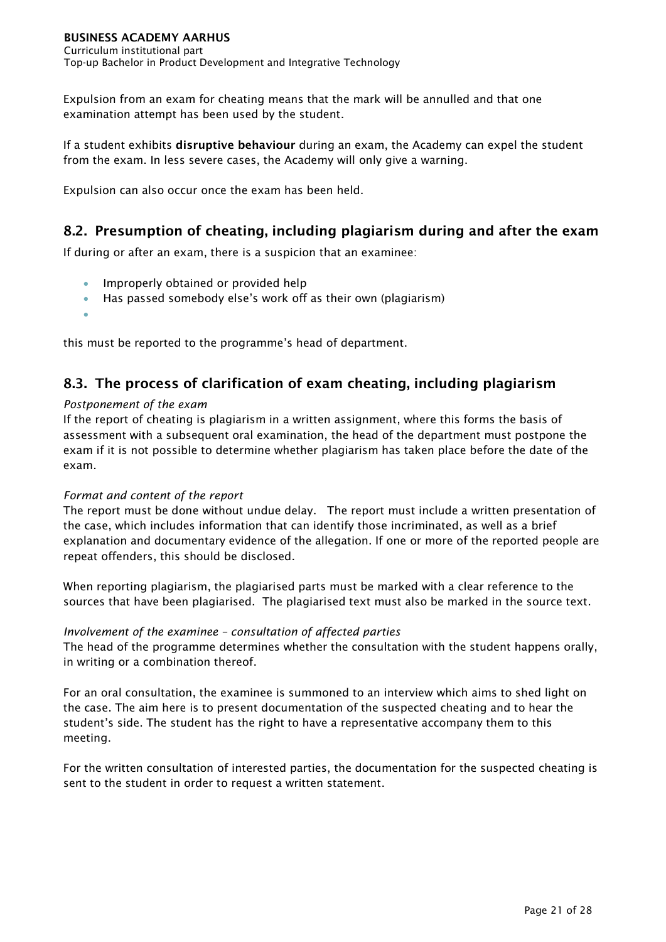Expulsion from an exam for cheating means that the mark will be annulled and that one examination attempt has been used by the student.

If a student exhibits disruptive behaviour during an exam, the Academy can expel the student from the exam. In less severe cases, the Academy will only give a warning.

Expulsion can also occur once the exam has been held.

# <span id="page-21-0"></span>8.2. Presumption of cheating, including plagiarism during and after the exam

If during or after an exam, there is a suspicion that an examinee:

- Improperly obtained or provided help
- Has passed somebody else's work off as their own (plagiarism)
- •

this must be reported to the programme's head of department.

# <span id="page-21-1"></span>8.3. The process of clarification of exam cheating, including plagiarism

## *Postponement of the exam*

If the report of cheating is plagiarism in a written assignment, where this forms the basis of assessment with a subsequent oral examination, the head of the department must postpone the exam if it is not possible to determine whether plagiarism has taken place before the date of the exam.

## *Format and content of the report*

The report must be done without undue delay. The report must include a written presentation of the case, which includes information that can identify those incriminated, as well as a brief explanation and documentary evidence of the allegation. If one or more of the reported people are repeat offenders, this should be disclosed.

When reporting plagiarism, the plagiarised parts must be marked with a clear reference to the sources that have been plagiarised. The plagiarised text must also be marked in the source text.

## *Involvement of the examinee – consultation of affected parties*

The head of the programme determines whether the consultation with the student happens orally, in writing or a combination thereof.

For an oral consultation, the examinee is summoned to an interview which aims to shed light on the case. The aim here is to present documentation of the suspected cheating and to hear the student's side. The student has the right to have a representative accompany them to this meeting.

For the written consultation of interested parties, the documentation for the suspected cheating is sent to the student in order to request a written statement.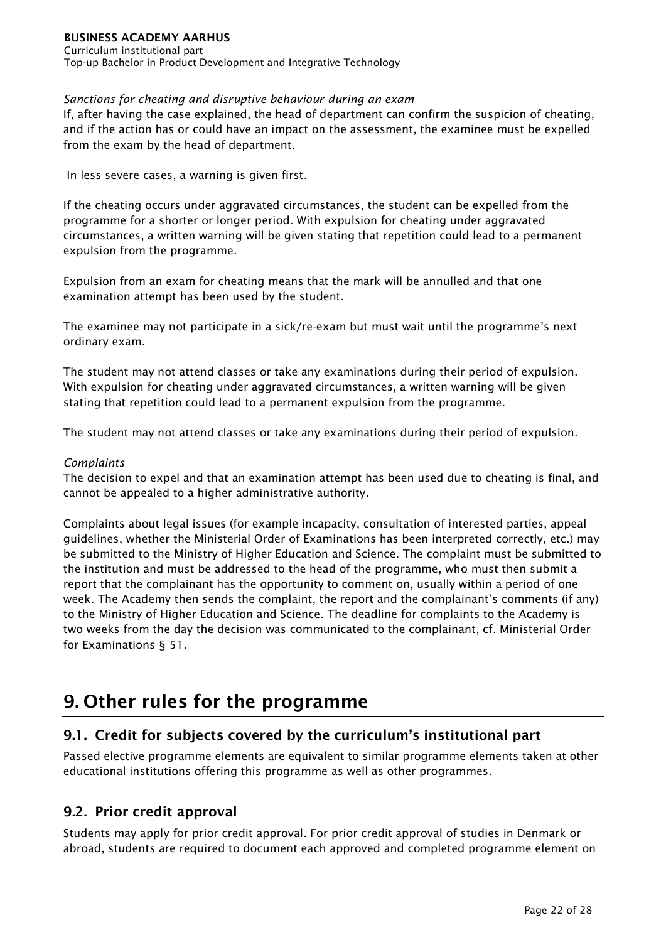Curriculum institutional part Top-up Bachelor in Product Development and Integrative Technology

# *Sanctions for cheating and disruptive behaviour during an exam*

If, after having the case explained, the head of department can confirm the suspicion of cheating, and if the action has or could have an impact on the assessment, the examinee must be expelled from the exam by the head of department.

In less severe cases, a warning is given first.

If the cheating occurs under aggravated circumstances, the student can be expelled from the programme for a shorter or longer period. With expulsion for cheating under aggravated circumstances, a written warning will be given stating that repetition could lead to a permanent expulsion from the programme.

Expulsion from an exam for cheating means that the mark will be annulled and that one examination attempt has been used by the student.

The examinee may not participate in a sick/re-exam but must wait until the programme's next ordinary exam.

The student may not attend classes or take any examinations during their period of expulsion. With expulsion for cheating under aggravated circumstances, a written warning will be given stating that repetition could lead to a permanent expulsion from the programme.

The student may not attend classes or take any examinations during their period of expulsion.

# *Complaints*

The decision to expel and that an examination attempt has been used due to cheating is final, and cannot be appealed to a higher administrative authority.

Complaints about legal issues (for example incapacity, consultation of interested parties, appeal guidelines, whether the Ministerial Order of Examinations has been interpreted correctly, etc.) may be submitted to the Ministry of Higher Education and Science. The complaint must be submitted to the institution and must be addressed to the head of the programme, who must then submit a report that the complainant has the opportunity to comment on, usually within a period of one week. The Academy then sends the complaint, the report and the complainant's comments (if any) to the Ministry of Higher Education and Science. The deadline for complaints to the Academy is two weeks from the day the decision was communicated to the complainant, cf. Ministerial Order for Examinations § 51.

# <span id="page-22-0"></span>9. Other rules for the programme

# <span id="page-22-1"></span>9.1. Credit for subjects covered by the curriculum's institutional part

Passed elective programme elements are equivalent to similar programme elements taken at other educational institutions offering this programme as well as other programmes.

# <span id="page-22-2"></span>9.2. Prior credit approval

Students may apply for prior credit approval. For prior credit approval of studies in Denmark or abroad, students are required to document each approved and completed programme element on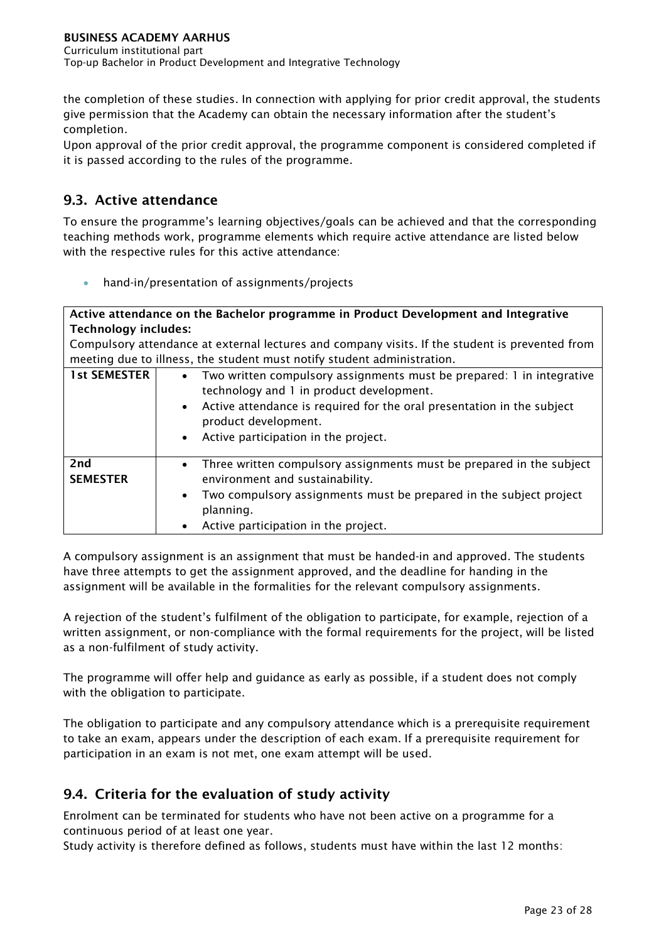the completion of these studies. In connection with applying for prior credit approval, the students give permission that the Academy can obtain the necessary information after the student's completion.

Upon approval of the prior credit approval, the programme component is considered completed if it is passed according to the rules of the programme.

# <span id="page-23-0"></span>9.3. Active attendance

To ensure the programme's learning objectives/goals can be achieved and that the corresponding teaching methods work, programme elements which require active attendance are listed below with the respective rules for this active attendance:

• hand-in/presentation of assignments/projects

# Active attendance on the Bachelor programme in Product Development and Integrative Technology includes:

Compulsory attendance at external lectures and company visits. If the student is prevented from meeting due to illness, the student must notify student administration.

| <b>1st SEMESTER</b>                | Two written compulsory assignments must be prepared: 1 in integrative<br>technology and 1 in product development.<br>• Active attendance is required for the oral presentation in the subject<br>product development.<br>• Active participation in the project. |
|------------------------------------|-----------------------------------------------------------------------------------------------------------------------------------------------------------------------------------------------------------------------------------------------------------------|
| 2 <sub>nd</sub><br><b>SEMESTER</b> | • Three written compulsory assignments must be prepared in the subject<br>environment and sustainability.<br>Two compulsory assignments must be prepared in the subject project<br>$\bullet$<br>planning.<br>Active participation in the project.               |

A compulsory assignment is an assignment that must be handed-in and approved. The students have three attempts to get the assignment approved, and the deadline for handing in the assignment will be available in the formalities for the relevant compulsory assignments.

A rejection of the student's fulfilment of the obligation to participate, for example, rejection of a written assignment, or non-compliance with the formal requirements for the project, will be listed as a non-fulfilment of study activity.

The programme will offer help and guidance as early as possible, if a student does not comply with the obligation to participate.

The obligation to participate and any compulsory attendance which is a prerequisite requirement to take an exam, appears under the description of each exam. If a prerequisite requirement for participation in an exam is not met, one exam attempt will be used.

# <span id="page-23-1"></span>9.4. Criteria for the evaluation of study activity

Enrolment can be terminated for students who have not been active on a programme for a continuous period of at least one year.

Study activity is therefore defined as follows, students must have within the last 12 months: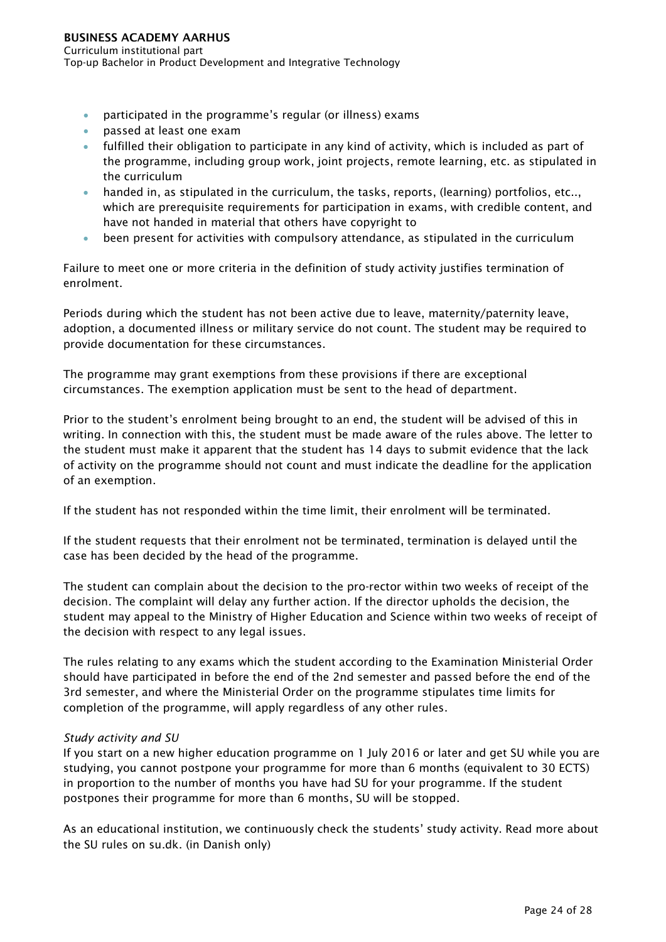#### BUSINESS ACADEMY AARHUS Curriculum institutional part Top-up Bachelor in Product Development and Integrative Technology

- participated in the programme's regular (or illness) exams
- passed at least one exam
- fulfilled their obligation to participate in any kind of activity, which is included as part of the programme, including group work, joint projects, remote learning, etc. as stipulated in the curriculum
- handed in, as stipulated in the curriculum, the tasks, reports, (learning) portfolios, etc.., which are prerequisite requirements for participation in exams, with credible content, and have not handed in material that others have copyright to
- been present for activities with compulsory attendance, as stipulated in the curriculum

Failure to meet one or more criteria in the definition of study activity justifies termination of enrolment.

Periods during which the student has not been active due to leave, maternity/paternity leave, adoption, a documented illness or military service do not count. The student may be required to provide documentation for these circumstances.

The programme may grant exemptions from these provisions if there are exceptional circumstances. The exemption application must be sent to the head of department.

Prior to the student's enrolment being brought to an end, the student will be advised of this in writing. In connection with this, the student must be made aware of the rules above. The letter to the student must make it apparent that the student has 14 days to submit evidence that the lack of activity on the programme should not count and must indicate the deadline for the application of an exemption.

If the student has not responded within the time limit, their enrolment will be terminated.

If the student requests that their enrolment not be terminated, termination is delayed until the case has been decided by the head of the programme.

The student can complain about the decision to the pro-rector within two weeks of receipt of the decision. The complaint will delay any further action. If the director upholds the decision, the student may appeal to the Ministry of Higher Education and Science within two weeks of receipt of the decision with respect to any legal issues.

The rules relating to any exams which the student according to the Examination Ministerial Order should have participated in before the end of the 2nd semester and passed before the end of the 3rd semester, and where the Ministerial Order on the programme stipulates time limits for completion of the programme, will apply regardless of any other rules.

## *Study activity and SU*

If you start on a new higher education programme on 1 July 2016 or later and get SU while you are studying, you cannot postpone your programme for more than 6 months (equivalent to 30 ECTS) in proportion to the number of months you have had SU for your programme. If the student postpones their programme for more than 6 months, SU will be stopped.

As an educational institution, we continuously check the students' study activity. Read more about the SU rules on su.dk. (in Danish only)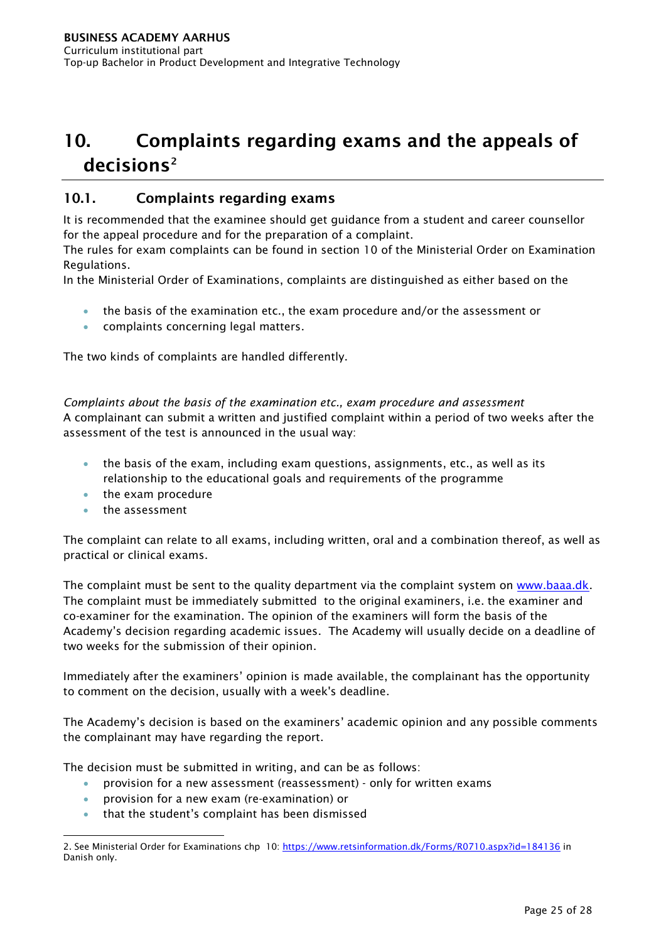# <span id="page-25-0"></span>10. Complaints regarding exams and the appeals of decisions<sup>[2](#page-25-2)</sup>

# <span id="page-25-1"></span>10.1. Complaints regarding exams

It is recommended that the examinee should get guidance from a student and career counsellor for the appeal procedure and for the preparation of a complaint.

The rules for exam complaints can be found in section 10 of the Ministerial Order on Examination Regulations.

In the Ministerial Order of Examinations, complaints are distinguished as either based on the

- the basis of the examination etc., the exam procedure and/or the assessment or
- complaints concerning legal matters.

The two kinds of complaints are handled differently.

*Complaints about the basis of the examination etc., exam procedure and assessment* A complainant can submit a written and justified complaint within a period of two weeks after the assessment of the test is announced in the usual way:

- the basis of the exam, including exam questions, assignments, etc., as well as its relationship to the educational goals and requirements of the programme
- the exam procedure
- the assessment

The complaint can relate to all exams, including written, oral and a combination thereof, as well as practical or clinical exams.

The complaint must be sent to the quality department via the complaint system on [www.baaa.dk.](http://www.eaaa.dk/) The complaint must be immediately submitted to the original examiners, i.e. the examiner and co-examiner for the examination. The opinion of the examiners will form the basis of the Academy's decision regarding academic issues. The Academy will usually decide on a deadline of two weeks for the submission of their opinion.

Immediately after the examiners' opinion is made available, the complainant has the opportunity to comment on the decision, usually with a week's deadline.

The Academy's decision is based on the examiners' academic opinion and any possible comments the complainant may have regarding the report.

The decision must be submitted in writing, and can be as follows:

- provision for a new assessment (reassessment) only for written exams
- provision for a new exam (re-examination) or
- that the student's complaint has been dismissed

<span id="page-25-2"></span><sup>2.</sup> See Ministerial Order for Examinations chp 10:<https://www.retsinformation.dk/Forms/R0710.aspx?id=184136> in Danish only.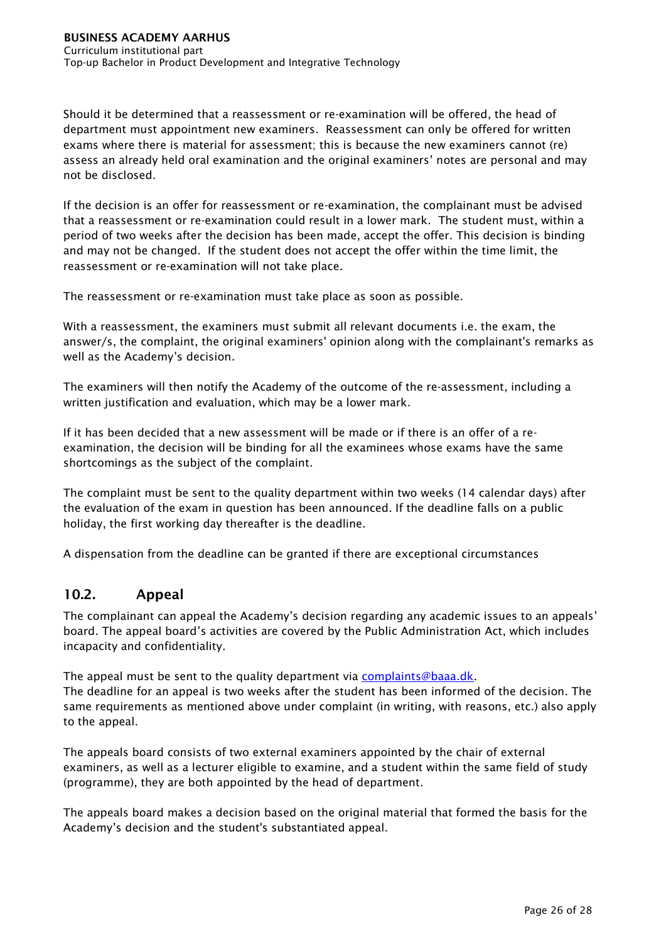Should it be determined that a reassessment or re-examination will be offered, the head of department must appointment new examiners. Reassessment can only be offered for written exams where there is material for assessment; this is because the new examiners cannot (re) assess an already held oral examination and the original examiners' notes are personal and may not be disclosed.

If the decision is an offer for reassessment or re-examination, the complainant must be advised that a reassessment or re-examination could result in a lower mark. The student must, within a period of two weeks after the decision has been made, accept the offer. This decision is binding and may not be changed. If the student does not accept the offer within the time limit, the reassessment or re-examination will not take place.

The reassessment or re-examination must take place as soon as possible.

With a reassessment, the examiners must submit all relevant documents i.e. the exam, the answer/s, the complaint, the original examiners' opinion along with the complainant's remarks as well as the Academy's decision.

The examiners will then notify the Academy of the outcome of the re-assessment, including a written justification and evaluation, which may be a lower mark.

If it has been decided that a new assessment will be made or if there is an offer of a reexamination, the decision will be binding for all the examinees whose exams have the same shortcomings as the subject of the complaint.

The complaint must be sent to the quality department within two weeks (14 calendar days) after the evaluation of the exam in question has been announced. If the deadline falls on a public holiday, the first working day thereafter is the deadline.

A dispensation from the deadline can be granted if there are exceptional circumstances

# <span id="page-26-0"></span>10.2. Appeal

The complainant can appeal the Academy's decision regarding any academic issues to an appeals' board. The appeal board's activities are covered by the Public Administration Act, which includes incapacity and confidentiality.

The appeal must be sent to the quality department via [complaints@baaa.dk.](mailto:klager@eaaa.dk) The deadline for an appeal is two weeks after the student has been informed of the decision. The same requirements as mentioned above under complaint (in writing, with reasons, etc.) also apply to the appeal.

The appeals board consists of two external examiners appointed by the chair of external examiners, as well as a lecturer eligible to examine, and a student within the same field of study (programme), they are both appointed by the head of department.

The appeals board makes a decision based on the original material that formed the basis for the Academy's decision and the student's substantiated appeal.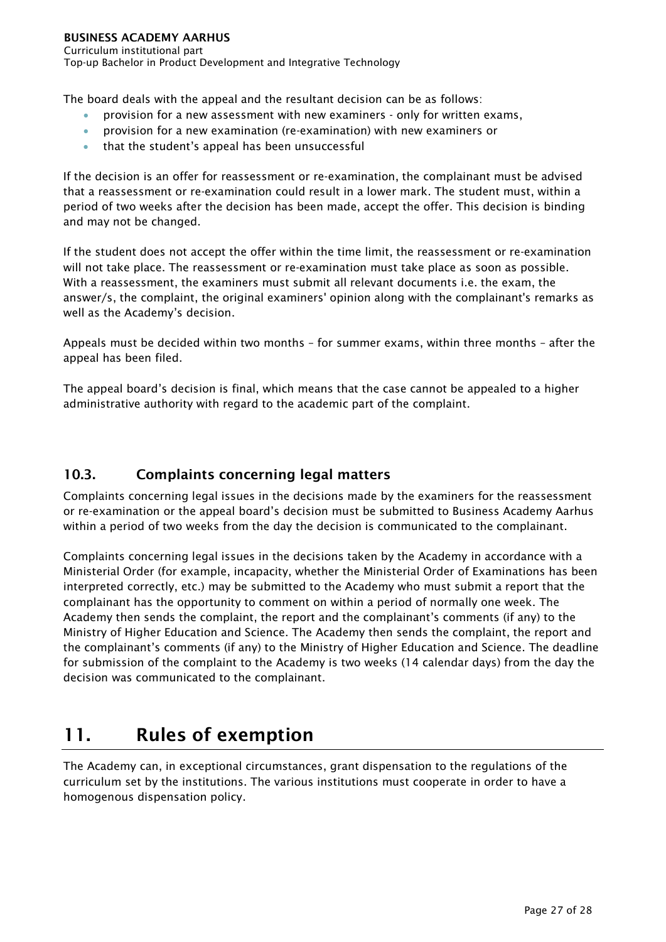Curriculum institutional part Top-up Bachelor in Product Development and Integrative Technology

The board deals with the appeal and the resultant decision can be as follows:

- provision for a new assessment with new examiners only for written exams,
- provision for a new examination (re-examination) with new examiners or
- that the student's appeal has been unsuccessful

If the decision is an offer for reassessment or re-examination, the complainant must be advised that a reassessment or re-examination could result in a lower mark. The student must, within a period of two weeks after the decision has been made, accept the offer. This decision is binding and may not be changed.

If the student does not accept the offer within the time limit, the reassessment or re-examination will not take place. The reassessment or re-examination must take place as soon as possible. With a reassessment, the examiners must submit all relevant documents i.e. the exam, the answer/s, the complaint, the original examiners' opinion along with the complainant's remarks as well as the Academy's decision.

Appeals must be decided within two months – for summer exams, within three months – after the appeal has been filed.

The appeal board's decision is final, which means that the case cannot be appealed to a higher administrative authority with regard to the academic part of the complaint.

# <span id="page-27-0"></span>10.3. Complaints concerning legal matters

Complaints concerning legal issues in the decisions made by the examiners for the reassessment or re-examination or the appeal board's decision must be submitted to Business Academy Aarhus within a period of two weeks from the day the decision is communicated to the complainant.

Complaints concerning legal issues in the decisions taken by the Academy in accordance with a Ministerial Order (for example, incapacity, whether the Ministerial Order of Examinations has been interpreted correctly, etc.) may be submitted to the Academy who must submit a report that the complainant has the opportunity to comment on within a period of normally one week. The Academy then sends the complaint, the report and the complainant's comments (if any) to the Ministry of Higher Education and Science. The Academy then sends the complaint, the report and the complainant's comments (if any) to the Ministry of Higher Education and Science. The deadline for submission of the complaint to the Academy is two weeks (14 calendar days) from the day the decision was communicated to the complainant.

# <span id="page-27-1"></span>11. Rules of exemption

The Academy can, in exceptional circumstances, grant dispensation to the regulations of the curriculum set by the institutions. The various institutions must cooperate in order to have a homogenous dispensation policy.